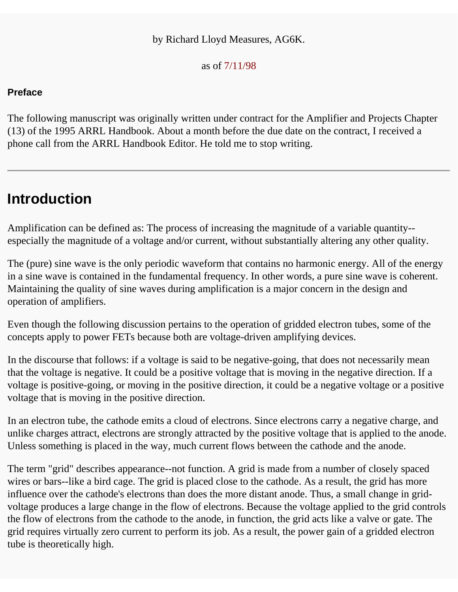#### by Richard Lloyd Measures, AG6K.

as of 7/11/98

#### **Preface**

The following manuscript was originally written under contract for the Amplifier and Projects Chapter (13) of the 1995 ARRL Handbook. About a month before the due date on the contract, I received a phone call from the ARRL Handbook Editor. He told me to stop writing.

### **Introduction**

Amplification can be defined as: The process of increasing the magnitude of a variable quantity- especially the magnitude of a voltage and/or current, without substantially altering any other quality.

The (pure) sine wave is the only periodic waveform that contains no harmonic energy. All of the energy in a sine wave is contained in the fundamental frequency. In other words, a pure sine wave is coherent. Maintaining the quality of sine waves during amplification is a major concern in the design and operation of amplifiers.

Even though the following discussion pertains to the operation of gridded electron tubes, some of the concepts apply to power FETs because both are voltage-driven amplifying devices.

In the discourse that follows: if a voltage is said to be negative-going, that does not necessarily mean that the voltage is negative. It could be a positive voltage that is moving in the negative direction. If a voltage is positive-going, or moving in the positive direction, it could be a negative voltage or a positive voltage that is moving in the positive direction.

In an electron tube, the cathode emits a cloud of electrons. Since electrons carry a negative charge, and unlike charges attract, electrons are strongly attracted by the positive voltage that is applied to the anode. Unless something is placed in the way, much current flows between the cathode and the anode.

The term "grid" describes appearance--not function. A grid is made from a number of closely spaced wires or bars--like a bird cage. The grid is placed close to the cathode. As a result, the grid has more influence over the cathode's electrons than does the more distant anode. Thus, a small change in gridvoltage produces a large change in the flow of electrons. Because the voltage applied to the grid controls the flow of electrons from the cathode to the anode, in function, the grid acts like a valve or gate. The grid requires virtually zero current to perform its job. As a result, the power gain of a gridded electron tube is theoretically high.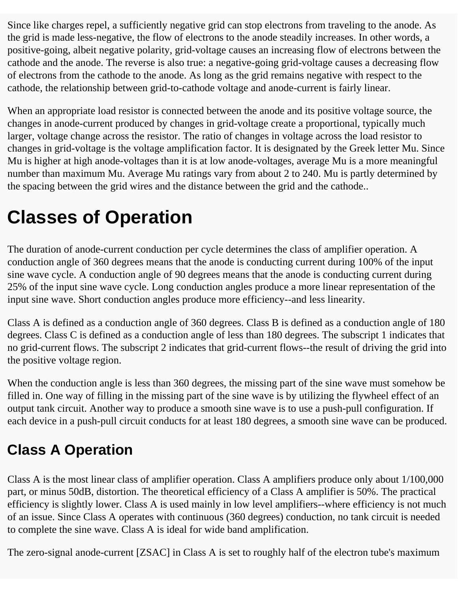Since like charges repel, a sufficiently negative grid can stop electrons from traveling to the anode. As the grid is made less-negative, the flow of electrons to the anode steadily increases. In other words, a positive-going, albeit negative polarity, grid-voltage causes an increasing flow of electrons between the cathode and the anode. The reverse is also true: a negative-going grid-voltage causes a decreasing flow of electrons from the cathode to the anode. As long as the grid remains negative with respect to the cathode, the relationship between grid-to-cathode voltage and anode-current is fairly linear.

When an appropriate load resistor is connected between the anode and its positive voltage source, the changes in anode-current produced by changes in grid-voltage create a proportional, typically much larger, voltage change across the resistor. The ratio of changes in voltage across the load resistor to changes in grid-voltage is the voltage amplification factor. It is designated by the Greek letter Mu. Since Mu is higher at high anode-voltages than it is at low anode-voltages, average Mu is a more meaningful number than maximum Mu. Average Mu ratings vary from about 2 to 240. Mu is partly determined by the spacing between the grid wires and the distance between the grid and the cathode..

## **Classes of Operation**

The duration of anode-current conduction per cycle determines the class of amplifier operation. A conduction angle of 360 degrees means that the anode is conducting current during 100% of the input sine wave cycle. A conduction angle of 90 degrees means that the anode is conducting current during 25% of the input sine wave cycle. Long conduction angles produce a more linear representation of the input sine wave. Short conduction angles produce more efficiency--and less linearity.

Class A is defined as a conduction angle of 360 degrees. Class B is defined as a conduction angle of 180 degrees. Class C is defined as a conduction angle of less than 180 degrees. The subscript 1 indicates that no grid-current flows. The subscript 2 indicates that grid-current flows--the result of driving the grid into the positive voltage region.

When the conduction angle is less than 360 degrees, the missing part of the sine wave must somehow be filled in. One way of filling in the missing part of the sine wave is by utilizing the flywheel effect of an output tank circuit. Another way to produce a smooth sine wave is to use a push-pull configuration. If each device in a push-pull circuit conducts for at least 180 degrees, a smooth sine wave can be produced.

### **Class A Operation**

Class A is the most linear class of amplifier operation. Class A amplifiers produce only about 1/100,000 part, or minus 50dB, distortion. The theoretical efficiency of a Class A amplifier is 50%. The practical efficiency is slightly lower. Class A is used mainly in low level amplifiers--where efficiency is not much of an issue. Since Class A operates with continuous (360 degrees) conduction, no tank circuit is needed to complete the sine wave. Class A is ideal for wide band amplification.

The zero-signal anode-current [ZSAC] in Class A is set to roughly half of the electron tube's maximum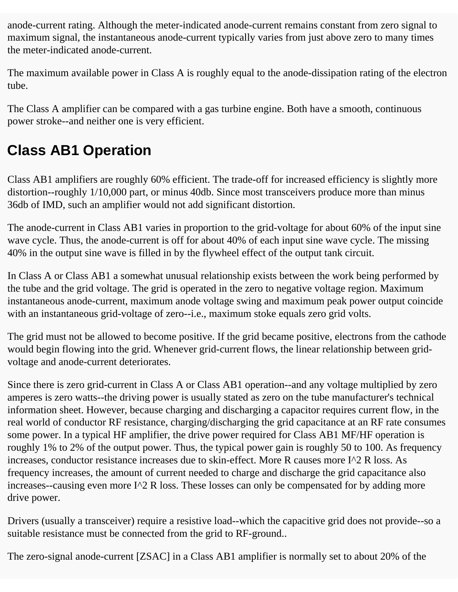anode-current rating. Although the meter-indicated anode-current remains constant from zero signal to maximum signal, the instantaneous anode-current typically varies from just above zero to many times the meter-indicated anode-current.

The maximum available power in Class A is roughly equal to the anode-dissipation rating of the electron tube.

The Class A amplifier can be compared with a gas turbine engine. Both have a smooth, continuous power stroke--and neither one is very efficient.

### **Class AB1 Operation**

Class AB1 amplifiers are roughly 60% efficient. The trade-off for increased efficiency is slightly more distortion--roughly 1/10,000 part, or minus 40db. Since most transceivers produce more than minus 36db of IMD, such an amplifier would not add significant distortion.

The anode-current in Class AB1 varies in proportion to the grid-voltage for about 60% of the input sine wave cycle. Thus, the anode-current is off for about 40% of each input sine wave cycle. The missing 40% in the output sine wave is filled in by the flywheel effect of the output tank circuit.

In Class A or Class AB1 a somewhat unusual relationship exists between the work being performed by the tube and the grid voltage. The grid is operated in the zero to negative voltage region. Maximum instantaneous anode-current, maximum anode voltage swing and maximum peak power output coincide with an instantaneous grid-voltage of zero--i.e., maximum stoke equals zero grid volts.

The grid must not be allowed to become positive. If the grid became positive, electrons from the cathode would begin flowing into the grid. Whenever grid-current flows, the linear relationship between gridvoltage and anode-current deteriorates.

Since there is zero grid-current in Class A or Class AB1 operation--and any voltage multiplied by zero amperes is zero watts--the driving power is usually stated as zero on the tube manufacturer's technical information sheet. However, because charging and discharging a capacitor requires current flow, in the real world of conductor RF resistance, charging/discharging the grid capacitance at an RF rate consumes some power. In a typical HF amplifier, the drive power required for Class AB1 MF/HF operation is roughly 1% to 2% of the output power. Thus, the typical power gain is roughly 50 to 100. As frequency increases, conductor resistance increases due to skin-effect. More R causes more I^2 R loss. As frequency increases, the amount of current needed to charge and discharge the grid capacitance also increases--causing even more I^2 R loss. These losses can only be compensated for by adding more drive power.

Drivers (usually a transceiver) require a resistive load--which the capacitive grid does not provide--so a suitable resistance must be connected from the grid to RF-ground..

The zero-signal anode-current [ZSAC] in a Class AB1 amplifier is normally set to about 20% of the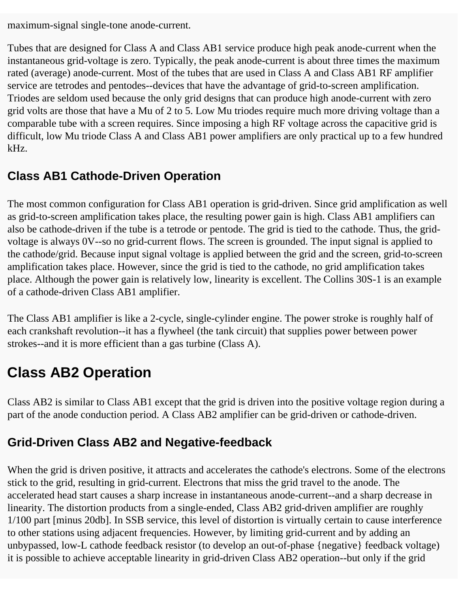maximum-signal single-tone anode-current.

Tubes that are designed for Class A and Class AB1 service produce high peak anode-current when the instantaneous grid-voltage is zero. Typically, the peak anode-current is about three times the maximum rated (average) anode-current. Most of the tubes that are used in Class A and Class AB1 RF amplifier service are tetrodes and pentodes--devices that have the advantage of grid-to-screen amplification. Triodes are seldom used because the only grid designs that can produce high anode-current with zero grid volts are those that have a Mu of 2 to 5. Low Mu triodes require much more driving voltage than a comparable tube with a screen requires. Since imposing a high RF voltage across the capacitive grid is difficult, low Mu triode Class A and Class AB1 power amplifiers are only practical up to a few hundred kHz.

### **Class AB1 Cathode-Driven Operation**

The most common configuration for Class AB1 operation is grid-driven. Since grid amplification as well as grid-to-screen amplification takes place, the resulting power gain is high. Class AB1 amplifiers can also be cathode-driven if the tube is a tetrode or pentode. The grid is tied to the cathode. Thus, the gridvoltage is always 0V--so no grid-current flows. The screen is grounded. The input signal is applied to the cathode/grid. Because input signal voltage is applied between the grid and the screen, grid-to-screen amplification takes place. However, since the grid is tied to the cathode, no grid amplification takes place. Although the power gain is relatively low, linearity is excellent. The Collins 30S-1 is an example of a cathode-driven Class AB1 amplifier.

The Class AB1 amplifier is like a 2-cycle, single-cylinder engine. The power stroke is roughly half of each crankshaft revolution--it has a flywheel (the tank circuit) that supplies power between power strokes--and it is more efficient than a gas turbine (Class A).

### **Class AB2 Operation**

Class AB2 is similar to Class AB1 except that the grid is driven into the positive voltage region during a part of the anode conduction period. A Class AB2 amplifier can be grid-driven or cathode-driven.

### **Grid-Driven Class AB2 and Negative-feedback**

When the grid is driven positive, it attracts and accelerates the cathode's electrons. Some of the electrons stick to the grid, resulting in grid-current. Electrons that miss the grid travel to the anode. The accelerated head start causes a sharp increase in instantaneous anode-current--and a sharp decrease in linearity. The distortion products from a single-ended, Class AB2 grid-driven amplifier are roughly 1/100 part [minus 20db]. In SSB service, this level of distortion is virtually certain to cause interference to other stations using adjacent frequencies. However, by limiting grid-current and by adding an unbypassed, low-L cathode feedback resistor (to develop an out-of-phase {negative} feedback voltage) it is possible to achieve acceptable linearity in grid-driven Class AB2 operation--but only if the grid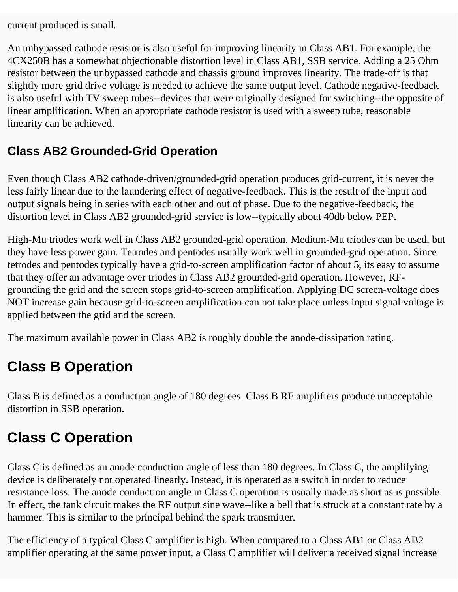current produced is small.

An unbypassed cathode resistor is also useful for improving linearity in Class AB1. For example, the 4CX250B has a somewhat objectionable distortion level in Class AB1, SSB service. Adding a 25 Ohm resistor between the unbypassed cathode and chassis ground improves linearity. The trade-off is that slightly more grid drive voltage is needed to achieve the same output level. Cathode negative-feedback is also useful with TV sweep tubes--devices that were originally designed for switching--the opposite of linear amplification. When an appropriate cathode resistor is used with a sweep tube, reasonable linearity can be achieved.

### **Class AB2 Grounded-Grid Operation**

Even though Class AB2 cathode-driven/grounded-grid operation produces grid-current, it is never the less fairly linear due to the laundering effect of negative-feedback. This is the result of the input and output signals being in series with each other and out of phase. Due to the negative-feedback, the distortion level in Class AB2 grounded-grid service is low--typically about 40db below PEP.

High-Mu triodes work well in Class AB2 grounded-grid operation. Medium-Mu triodes can be used, but they have less power gain. Tetrodes and pentodes usually work well in grounded-grid operation. Since tetrodes and pentodes typically have a grid-to-screen amplification factor of about 5, its easy to assume that they offer an advantage over triodes in Class AB2 grounded-grid operation. However, RFgrounding the grid and the screen stops grid-to-screen amplification. Applying DC screen-voltage does NOT increase gain because grid-to-screen amplification can not take place unless input signal voltage is applied between the grid and the screen.

The maximum available power in Class AB2 is roughly double the anode-dissipation rating.

### **Class B Operation**

Class B is defined as a conduction angle of 180 degrees. Class B RF amplifiers produce unacceptable distortion in SSB operation.

### **Class C Operation**

Class C is defined as an anode conduction angle of less than 180 degrees. In Class C, the amplifying device is deliberately not operated linearly. Instead, it is operated as a switch in order to reduce resistance loss. The anode conduction angle in Class C operation is usually made as short as is possible. In effect, the tank circuit makes the RF output sine wave--like a bell that is struck at a constant rate by a hammer. This is similar to the principal behind the spark transmitter.

The efficiency of a typical Class C amplifier is high. When compared to a Class AB1 or Class AB2 amplifier operating at the same power input, a Class C amplifier will deliver a received signal increase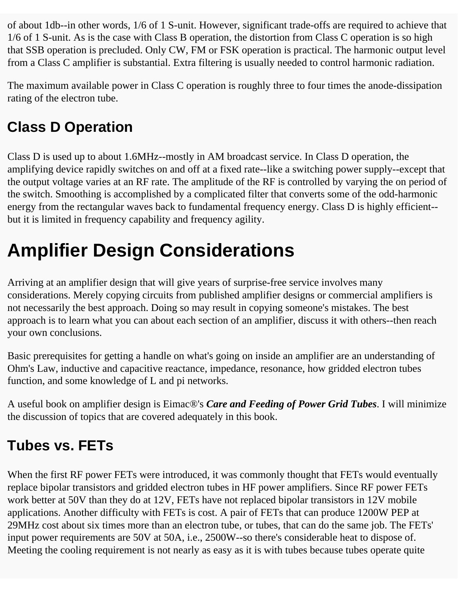of about 1db--in other words, 1/6 of 1 S-unit. However, significant trade-offs are required to achieve that 1/6 of 1 S-unit. As is the case with Class B operation, the distortion from Class C operation is so high that SSB operation is precluded. Only CW, FM or FSK operation is practical. The harmonic output level from a Class C amplifier is substantial. Extra filtering is usually needed to control harmonic radiation.

The maximum available power in Class C operation is roughly three to four times the anode-dissipation rating of the electron tube.

### **Class D Operation**

Class D is used up to about 1.6MHz--mostly in AM broadcast service. In Class D operation, the amplifying device rapidly switches on and off at a fixed rate--like a switching power supply--except that the output voltage varies at an RF rate. The amplitude of the RF is controlled by varying the on period of the switch. Smoothing is accomplished by a complicated filter that converts some of the odd-harmonic energy from the rectangular waves back to fundamental frequency energy. Class D is highly efficient- but it is limited in frequency capability and frequency agility.

# **Amplifier Design Considerations**

Arriving at an amplifier design that will give years of surprise-free service involves many considerations. Merely copying circuits from published amplifier designs or commercial amplifiers is not necessarily the best approach. Doing so may result in copying someone's mistakes. The best approach is to learn what you can about each section of an amplifier, discuss it with others--then reach your own conclusions.

Basic prerequisites for getting a handle on what's going on inside an amplifier are an understanding of Ohm's Law, inductive and capacitive reactance, impedance, resonance, how gridded electron tubes function, and some knowledge of L and pi networks.

A useful book on amplifier design is Eimac®'s *Care and Feeding of Power Grid Tubes*. I will minimize the discussion of topics that are covered adequately in this book.

### **Tubes vs. FETs**

When the first RF power FETs were introduced, it was commonly thought that FETs would eventually replace bipolar transistors and gridded electron tubes in HF power amplifiers. Since RF power FETs work better at 50V than they do at 12V, FETs have not replaced bipolar transistors in 12V mobile applications. Another difficulty with FETs is cost. A pair of FETs that can produce 1200W PEP at 29MHz cost about six times more than an electron tube, or tubes, that can do the same job. The FETs' input power requirements are 50V at 50A, i.e., 2500W--so there's considerable heat to dispose of. Meeting the cooling requirement is not nearly as easy as it is with tubes because tubes operate quite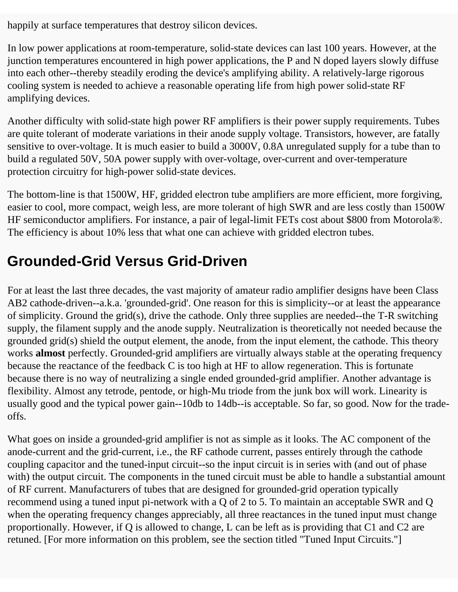happily at surface temperatures that destroy silicon devices.

In low power applications at room-temperature, solid-state devices can last 100 years. However, at the junction temperatures encountered in high power applications, the P and N doped layers slowly diffuse into each other--thereby steadily eroding the device's amplifying ability. A relatively-large rigorous cooling system is needed to achieve a reasonable operating life from high power solid-state RF amplifying devices.

Another difficulty with solid-state high power RF amplifiers is their power supply requirements. Tubes are quite tolerant of moderate variations in their anode supply voltage. Transistors, however, are fatally sensitive to over-voltage. It is much easier to build a 3000V, 0.8A unregulated supply for a tube than to build a regulated 50V, 50A power supply with over-voltage, over-current and over-temperature protection circuitry for high-power solid-state devices.

The bottom-line is that 1500W, HF, gridded electron tube amplifiers are more efficient, more forgiving, easier to cool, more compact, weigh less, are more tolerant of high SWR and are less costly than 1500W HF semiconductor amplifiers. For instance, a pair of legal-limit FETs cost about \$800 from Motorola®. The efficiency is about 10% less that what one can achieve with gridded electron tubes.

### **Grounded-Grid Versus Grid-Driven**

For at least the last three decades, the vast majority of amateur radio amplifier designs have been Class AB2 cathode-driven--a.k.a. 'grounded-grid'. One reason for this is simplicity--or at least the appearance of simplicity. Ground the grid(s), drive the cathode. Only three supplies are needed--the T-R switching supply, the filament supply and the anode supply. Neutralization is theoretically not needed because the grounded grid(s) shield the output element, the anode, from the input element, the cathode. This theory works **almost** perfectly. Grounded-grid amplifiers are virtually always stable at the operating frequency because the reactance of the feedback C is too high at HF to allow regeneration. This is fortunate because there is no way of neutralizing a single ended grounded-grid amplifier. Another advantage is flexibility. Almost any tetrode, pentode, or high-Mu triode from the junk box will work. Linearity is usually good and the typical power gain--10db to 14db--is acceptable. So far, so good. Now for the tradeoffs.

What goes on inside a grounded-grid amplifier is not as simple as it looks. The AC component of the anode-current and the grid-current, i.e., the RF cathode current, passes entirely through the cathode coupling capacitor and the tuned-input circuit--so the input circuit is in series with (and out of phase with) the output circuit. The components in the tuned circuit must be able to handle a substantial amount of RF current. Manufacturers of tubes that are designed for grounded-grid operation typically recommend using a tuned input pi-network with a Q of 2 to 5. To maintain an acceptable SWR and Q when the operating frequency changes appreciably, all three reactances in the tuned input must change proportionally. However, if Q is allowed to change, L can be left as is providing that C1 and C2 are retuned. [For more information on this problem, see the section titled "Tuned Input Circuits."]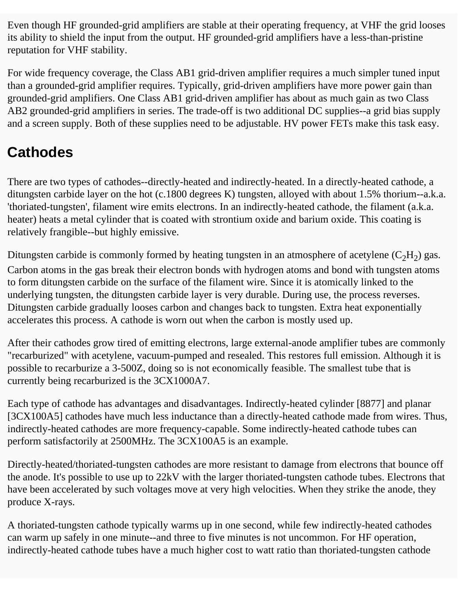Even though HF grounded-grid amplifiers are stable at their operating frequency, at VHF the grid looses its ability to shield the input from the output. HF grounded-grid amplifiers have a less-than-pristine reputation for VHF stability.

For wide frequency coverage, the Class AB1 grid-driven amplifier requires a much simpler tuned input than a grounded-grid amplifier requires. Typically, grid-driven amplifiers have more power gain than grounded-grid amplifiers. One Class AB1 grid-driven amplifier has about as much gain as two Class AB2 grounded-grid amplifiers in series. The trade-off is two additional DC supplies--a grid bias supply and a screen supply. Both of these supplies need to be adjustable. HV power FETs make this task easy.

### **Cathodes**

There are two types of cathodes--directly-heated and indirectly-heated. In a directly-heated cathode, a ditungsten carbide layer on the hot (c.1800 degrees K) tungsten, alloyed with about 1.5% thorium--a.k.a. 'thoriated-tungsten', filament wire emits electrons. In an indirectly-heated cathode, the filament (a.k.a. heater) heats a metal cylinder that is coated with strontium oxide and barium oxide. This coating is relatively frangible--but highly emissive.

Ditungsten carbide is commonly formed by heating tungsten in an atmosphere of acetylene  $(C_2H_2)$  gas. Carbon atoms in the gas break their electron bonds with hydrogen atoms and bond with tungsten atoms to form ditungsten carbide on the surface of the filament wire. Since it is atomically linked to the underlying tungsten, the ditungsten carbide layer is very durable. During use, the process reverses. Ditungsten carbide gradually looses carbon and changes back to tungsten. Extra heat exponentially accelerates this process. A cathode is worn out when the carbon is mostly used up.

After their cathodes grow tired of emitting electrons, large external-anode amplifier tubes are commonly "recarburized" with acetylene, vacuum-pumped and resealed. This restores full emission. Although it is possible to recarburize a 3-500Z, doing so is not economically feasible. The smallest tube that is currently being recarburized is the 3CX1000A7.

Each type of cathode has advantages and disadvantages. Indirectly-heated cylinder [8877] and planar [3CX100A5] cathodes have much less inductance than a directly-heated cathode made from wires. Thus, indirectly-heated cathodes are more frequency-capable. Some indirectly-heated cathode tubes can perform satisfactorily at 2500MHz. The 3CX100A5 is an example.

Directly-heated/thoriated-tungsten cathodes are more resistant to damage from electrons that bounce off the anode. It's possible to use up to 22kV with the larger thoriated-tungsten cathode tubes. Electrons that have been accelerated by such voltages move at very high velocities. When they strike the anode, they produce X-rays.

A thoriated-tungsten cathode typically warms up in one second, while few indirectly-heated cathodes can warm up safely in one minute--and three to five minutes is not uncommon. For HF operation, indirectly-heated cathode tubes have a much higher cost to watt ratio than thoriated-tungsten cathode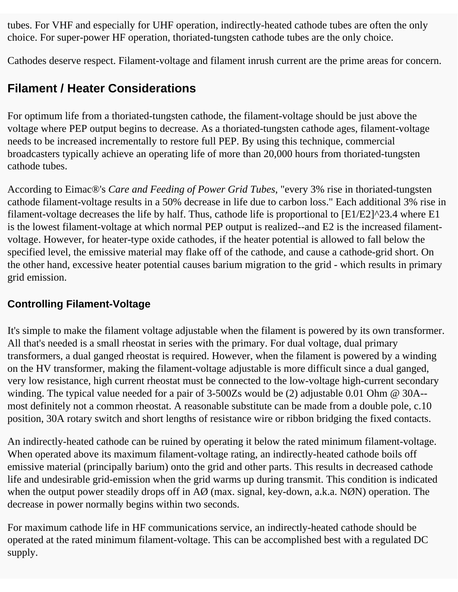tubes. For VHF and especially for UHF operation, indirectly-heated cathode tubes are often the only choice. For super-power HF operation, thoriated-tungsten cathode tubes are the only choice.

Cathodes deserve respect. Filament-voltage and filament inrush current are the prime areas for concern.

### **Filament / Heater Considerations**

For optimum life from a thoriated-tungsten cathode, the filament-voltage should be just above the voltage where PEP output begins to decrease. As a thoriated-tungsten cathode ages, filament-voltage needs to be increased incrementally to restore full PEP. By using this technique, commercial broadcasters typically achieve an operating life of more than 20,000 hours from thoriated-tungsten cathode tubes.

According to Eimac®'s *Care and Feeding of Power Grid Tubes*, "every 3% rise in thoriated-tungsten cathode filament-voltage results in a 50% decrease in life due to carbon loss." Each additional 3% rise in filament-voltage decreases the life by half. Thus, cathode life is proportional to [E1/E2]^23.4 where E1 is the lowest filament-voltage at which normal PEP output is realized--and E2 is the increased filamentvoltage. However, for heater-type oxide cathodes, if the heater potential is allowed to fall below the specified level, the emissive material may flake off of the cathode, and cause a cathode-grid short. On the other hand, excessive heater potential causes barium migration to the grid - which results in primary grid emission.

#### **Controlling Filament-Voltage**

It's simple to make the filament voltage adjustable when the filament is powered by its own transformer. All that's needed is a small rheostat in series with the primary. For dual voltage, dual primary transformers, a dual ganged rheostat is required. However, when the filament is powered by a winding on the HV transformer, making the filament-voltage adjustable is more difficult since a dual ganged, very low resistance, high current rheostat must be connected to the low-voltage high-current secondary winding. The typical value needed for a pair of 3-500Zs would be (2) adjustable 0.01 Ohm @ 30A- most definitely not a common rheostat. A reasonable substitute can be made from a double pole, c.10 position, 30A rotary switch and short lengths of resistance wire or ribbon bridging the fixed contacts.

An indirectly-heated cathode can be ruined by operating it below the rated minimum filament-voltage. When operated above its maximum filament-voltage rating, an indirectly-heated cathode boils off emissive material (principally barium) onto the grid and other parts. This results in decreased cathode life and undesirable grid-emission when the grid warms up during transmit. This condition is indicated when the output power steadily drops off in AØ (max. signal, key-down, a.k.a. NØN) operation. The decrease in power normally begins within two seconds.

For maximum cathode life in HF communications service, an indirectly-heated cathode should be operated at the rated minimum filament-voltage. This can be accomplished best with a regulated DC supply.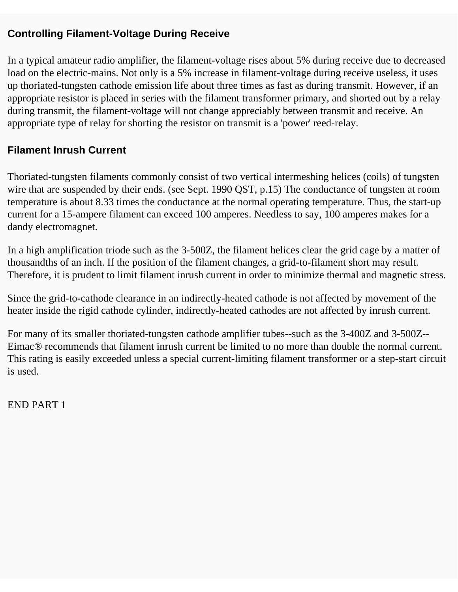#### **Controlling Filament-Voltage During Receive**

In a typical amateur radio amplifier, the filament-voltage rises about 5% during receive due to decreased load on the electric-mains. Not only is a 5% increase in filament-voltage during receive useless, it uses up thoriated-tungsten cathode emission life about three times as fast as during transmit. However, if an appropriate resistor is placed in series with the filament transformer primary, and shorted out by a relay during transmit, the filament-voltage will not change appreciably between transmit and receive. An appropriate type of relay for shorting the resistor on transmit is a 'power' reed-relay.

#### **Filament Inrush Current**

Thoriated-tungsten filaments commonly consist of two vertical intermeshing helices (coils) of tungsten wire that are suspended by their ends. (see Sept. 1990 QST, p.15) The conductance of tungsten at room temperature is about 8.33 times the conductance at the normal operating temperature. Thus, the start-up current for a 15-ampere filament can exceed 100 amperes. Needless to say, 100 amperes makes for a dandy electromagnet.

In a high amplification triode such as the 3-500Z, the filament helices clear the grid cage by a matter of thousandths of an inch. If the position of the filament changes, a grid-to-filament short may result. Therefore, it is prudent to limit filament inrush current in order to minimize thermal and magnetic stress.

Since the grid-to-cathode clearance in an indirectly-heated cathode is not affected by movement of the heater inside the rigid cathode cylinder, indirectly-heated cathodes are not affected by inrush current.

For many of its smaller thoriated-tungsten cathode amplifier tubes--such as the 3-400Z and 3-500Z-- Eimac® recommends that filament inrush current be limited to no more than double the normal current. This rating is easily exceeded unless a special current-limiting filament transformer or a step-start circuit is used.

END PART 1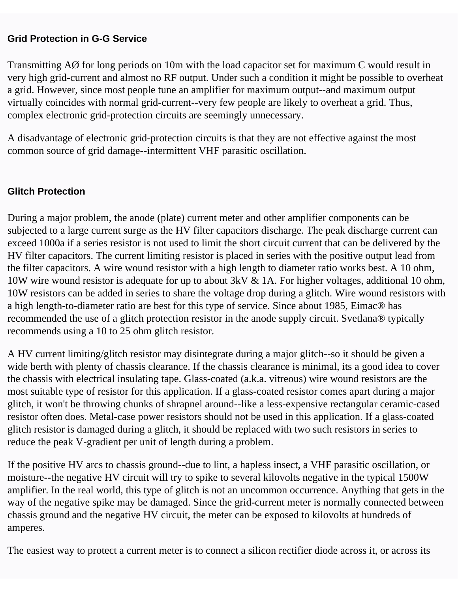#### **Grid Protection in G-G Service**

Transmitting AØ for long periods on 10m with the load capacitor set for maximum C would result in very high grid-current and almost no RF output. Under such a condition it might be possible to overheat a grid. However, since most people tune an amplifier for maximum output--and maximum output virtually coincides with normal grid-current--very few people are likely to overheat a grid. Thus, complex electronic grid-protection circuits are seemingly unnecessary.

A disadvantage of electronic grid-protection circuits is that they are not effective against the most common source of grid damage--intermittent VHF parasitic oscillation.

#### **Glitch Protection**

During a major problem, the anode (plate) current meter and other amplifier components can be subjected to a large current surge as the HV filter capacitors discharge. The peak discharge current can exceed 1000a if a series resistor is not used to limit the short circuit current that can be delivered by the HV filter capacitors. The current limiting resistor is placed in series with the positive output lead from the filter capacitors. A wire wound resistor with a high length to diameter ratio works best. A 10 ohm, 10W wire wound resistor is adequate for up to about 3kV & 1A. For higher voltages, additional 10 ohm, 10W resistors can be added in series to share the voltage drop during a glitch. Wire wound resistors with a high length-to-diameter ratio are best for this type of service. Since about 1985, Eimac® has recommended the use of a glitch protection resistor in the anode supply circuit. Svetlana® typically recommends using a 10 to 25 ohm glitch resistor.

A HV current limiting/glitch resistor may disintegrate during a major glitch--so it should be given a wide berth with plenty of chassis clearance. If the chassis clearance is minimal, its a good idea to cover the chassis with electrical insulating tape. Glass-coated (a.k.a. vitreous) wire wound resistors are the most suitable type of resistor for this application. If a glass-coated resistor comes apart during a major glitch, it won't be throwing chunks of shrapnel around--like a less-expensive rectangular ceramic-cased resistor often does. Metal-case power resistors should not be used in this application. If a glass-coated glitch resistor is damaged during a glitch, it should be replaced with two such resistors in series to reduce the peak V-gradient per unit of length during a problem.

If the positive HV arcs to chassis ground--due to lint, a hapless insect, a VHF parasitic oscillation, or moisture--the negative HV circuit will try to spike to several kilovolts negative in the typical 1500W amplifier. In the real world, this type of glitch is not an uncommon occurrence. Anything that gets in the way of the negative spike may be damaged. Since the grid-current meter is normally connected between chassis ground and the negative HV circuit, the meter can be exposed to kilovolts at hundreds of amperes.

The easiest way to protect a current meter is to connect a silicon rectifier diode across it, or across its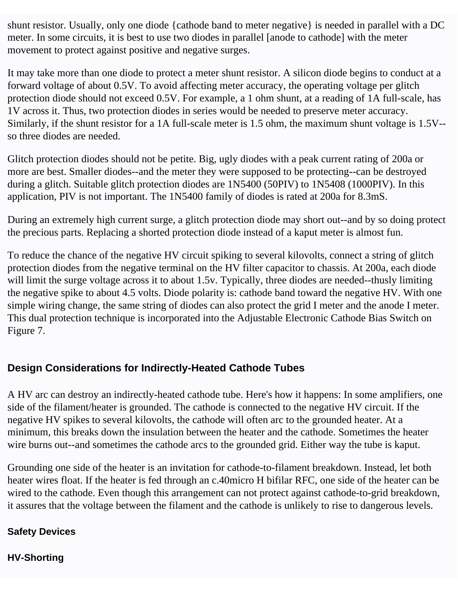shunt resistor. Usually, only one diode {cathode band to meter negative} is needed in parallel with a DC meter. In some circuits, it is best to use two diodes in parallel [anode to cathode] with the meter movement to protect against positive and negative surges.

It may take more than one diode to protect a meter shunt resistor. A silicon diode begins to conduct at a forward voltage of about 0.5V. To avoid affecting meter accuracy, the operating voltage per glitch protection diode should not exceed 0.5V. For example, a 1 ohm shunt, at a reading of 1A full-scale, has 1V across it. Thus, two protection diodes in series would be needed to preserve meter accuracy. Similarly, if the shunt resistor for a 1A full-scale meter is 1.5 ohm, the maximum shunt voltage is 1.5V- so three diodes are needed.

Glitch protection diodes should not be petite. Big, ugly diodes with a peak current rating of 200a or more are best. Smaller diodes--and the meter they were supposed to be protecting--can be destroyed during a glitch. Suitable glitch protection diodes are 1N5400 (50PIV) to 1N5408 (1000PIV). In this application, PIV is not important. The 1N5400 family of diodes is rated at 200a for 8.3mS.

During an extremely high current surge, a glitch protection diode may short out--and by so doing protect the precious parts. Replacing a shorted protection diode instead of a kaput meter is almost fun.

To reduce the chance of the negative HV circuit spiking to several kilovolts, connect a string of glitch protection diodes from the negative terminal on the HV filter capacitor to chassis. At 200a, each diode will limit the surge voltage across it to about 1.5v. Typically, three diodes are needed--thusly limiting the negative spike to about 4.5 volts. Diode polarity is: cathode band toward the negative HV. With one simple wiring change, the same string of diodes can also protect the grid I meter and the anode I meter. This dual protection technique is incorporated into the Adjustable Electronic Cathode Bias Switch on Figure 7.

#### **Design Considerations for Indirectly-Heated Cathode Tubes**

A HV arc can destroy an indirectly-heated cathode tube. Here's how it happens: In some amplifiers, one side of the filament/heater is grounded. The cathode is connected to the negative HV circuit. If the negative HV spikes to several kilovolts, the cathode will often arc to the grounded heater. At a minimum, this breaks down the insulation between the heater and the cathode. Sometimes the heater wire burns out--and sometimes the cathode arcs to the grounded grid. Either way the tube is kaput.

Grounding one side of the heater is an invitation for cathode-to-filament breakdown. Instead, let both heater wires float. If the heater is fed through an c.40micro H bifilar RFC, one side of the heater can be wired to the cathode. Even though this arrangement can not protect against cathode-to-grid breakdown, it assures that the voltage between the filament and the cathode is unlikely to rise to dangerous levels.

#### **Safety Devices**

#### **HV-Shorting**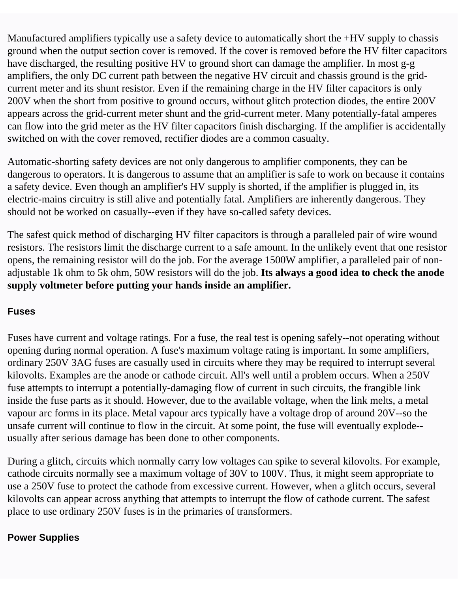Manufactured amplifiers typically use a safety device to automatically short the +HV supply to chassis ground when the output section cover is removed. If the cover is removed before the HV filter capacitors have discharged, the resulting positive HV to ground short can damage the amplifier. In most g-g amplifiers, the only DC current path between the negative HV circuit and chassis ground is the gridcurrent meter and its shunt resistor. Even if the remaining charge in the HV filter capacitors is only 200V when the short from positive to ground occurs, without glitch protection diodes, the entire 200V appears across the grid-current meter shunt and the grid-current meter. Many potentially-fatal amperes can flow into the grid meter as the HV filter capacitors finish discharging. If the amplifier is accidentally switched on with the cover removed, rectifier diodes are a common casualty.

Automatic-shorting safety devices are not only dangerous to amplifier components, they can be dangerous to operators. It is dangerous to assume that an amplifier is safe to work on because it contains a safety device. Even though an amplifier's HV supply is shorted, if the amplifier is plugged in, its electric-mains circuitry is still alive and potentially fatal. Amplifiers are inherently dangerous. They should not be worked on casually--even if they have so-called safety devices.

The safest quick method of discharging HV filter capacitors is through a paralleled pair of wire wound resistors. The resistors limit the discharge current to a safe amount. In the unlikely event that one resistor opens, the remaining resistor will do the job. For the average 1500W amplifier, a paralleled pair of nonadjustable 1k ohm to 5k ohm, 50W resistors will do the job. **Its always a good idea to check the anode supply voltmeter before putting your hands inside an amplifier.**

#### **Fuses**

Fuses have current and voltage ratings. For a fuse, the real test is opening safely--not operating without opening during normal operation. A fuse's maximum voltage rating is important. In some amplifiers, ordinary 250V 3AG fuses are casually used in circuits where they may be required to interrupt several kilovolts. Examples are the anode or cathode circuit. All's well until a problem occurs. When a 250V fuse attempts to interrupt a potentially-damaging flow of current in such circuits, the frangible link inside the fuse parts as it should. However, due to the available voltage, when the link melts, a metal vapour arc forms in its place. Metal vapour arcs typically have a voltage drop of around 20V--so the unsafe current will continue to flow in the circuit. At some point, the fuse will eventually explode- usually after serious damage has been done to other components.

During a glitch, circuits which normally carry low voltages can spike to several kilovolts. For example, cathode circuits normally see a maximum voltage of 30V to 100V. Thus, it might seem appropriate to use a 250V fuse to protect the cathode from excessive current. However, when a glitch occurs, several kilovolts can appear across anything that attempts to interrupt the flow of cathode current. The safest place to use ordinary 250V fuses is in the primaries of transformers.

#### **Power Supplies**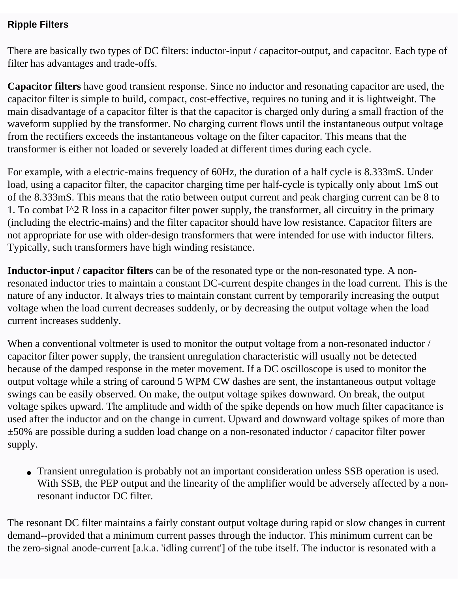#### **Ripple Filters**

There are basically two types of DC filters: inductor-input / capacitor-output, and capacitor. Each type of filter has advantages and trade-offs.

**Capacitor filters** have good transient response. Since no inductor and resonating capacitor are used, the capacitor filter is simple to build, compact, cost-effective, requires no tuning and it is lightweight. The main disadvantage of a capacitor filter is that the capacitor is charged only during a small fraction of the waveform supplied by the transformer. No charging current flows until the instantaneous output voltage from the rectifiers exceeds the instantaneous voltage on the filter capacitor. This means that the transformer is either not loaded or severely loaded at different times during each cycle.

For example, with a electric-mains frequency of 60Hz, the duration of a half cycle is 8.333mS. Under load, using a capacitor filter, the capacitor charging time per half-cycle is typically only about 1mS out of the 8.333mS. This means that the ratio between output current and peak charging current can be 8 to 1. To combat I^2 R loss in a capacitor filter power supply, the transformer, all circuitry in the primary (including the electric-mains) and the filter capacitor should have low resistance. Capacitor filters are not appropriate for use with older-design transformers that were intended for use with inductor filters. Typically, such transformers have high winding resistance.

**Inductor-input / capacitor filters** can be of the resonated type or the non-resonated type. A nonresonated inductor tries to maintain a constant DC-current despite changes in the load current. This is the nature of any inductor. It always tries to maintain constant current by temporarily increasing the output voltage when the load current decreases suddenly, or by decreasing the output voltage when the load current increases suddenly.

When a conventional voltmeter is used to monitor the output voltage from a non-resonated inductor / capacitor filter power supply, the transient unregulation characteristic will usually not be detected because of the damped response in the meter movement. If a DC oscilloscope is used to monitor the output voltage while a string of caround 5 WPM CW dashes are sent, the instantaneous output voltage swings can be easily observed. On make, the output voltage spikes downward. On break, the output voltage spikes upward. The amplitude and width of the spike depends on how much filter capacitance is used after the inductor and on the change in current. Upward and downward voltage spikes of more than ±50% are possible during a sudden load change on a non-resonated inductor / capacitor filter power supply.

• Transient unregulation is probably not an important consideration unless SSB operation is used. With SSB, the PEP output and the linearity of the amplifier would be adversely affected by a nonresonant inductor DC filter.

The resonant DC filter maintains a fairly constant output voltage during rapid or slow changes in current demand--provided that a minimum current passes through the inductor. This minimum current can be the zero-signal anode-current [a.k.a. 'idling current'] of the tube itself. The inductor is resonated with a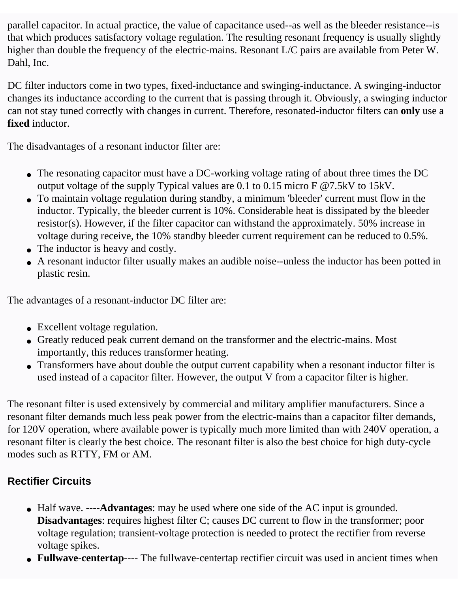parallel capacitor. In actual practice, the value of capacitance used--as well as the bleeder resistance--is that which produces satisfactory voltage regulation. The resulting resonant frequency is usually slightly higher than double the frequency of the electric-mains. Resonant L/C pairs are available from Peter W. Dahl, Inc.

DC filter inductors come in two types, fixed-inductance and swinging-inductance. A swinging-inductor changes its inductance according to the current that is passing through it. Obviously, a swinging inductor can not stay tuned correctly with changes in current. Therefore, resonated-inductor filters can **only** use a **fixed** inductor.

The disadvantages of a resonant inductor filter are:

- The resonating capacitor must have a DC-working voltage rating of about three times the DC output voltage of the supply Typical values are 0.1 to 0.15 micro F @7.5kV to 15kV.
- To maintain voltage regulation during standby, a minimum 'bleeder' current must flow in the inductor. Typically, the bleeder current is 10%. Considerable heat is dissipated by the bleeder resistor(s). However, if the filter capacitor can withstand the approximately. 50% increase in voltage during receive, the 10% standby bleeder current requirement can be reduced to 0.5%.
- The inductor is heavy and costly.
- A resonant inductor filter usually makes an audible noise--unless the inductor has been potted in plastic resin.

The advantages of a resonant-inductor DC filter are:

- Excellent voltage regulation.
- Greatly reduced peak current demand on the transformer and the electric-mains. Most importantly, this reduces transformer heating.
- Transformers have about double the output current capability when a resonant inductor filter is used instead of a capacitor filter. However, the output V from a capacitor filter is higher.

The resonant filter is used extensively by commercial and military amplifier manufacturers. Since a resonant filter demands much less peak power from the electric-mains than a capacitor filter demands, for 120V operation, where available power is typically much more limited than with 240V operation, a resonant filter is clearly the best choice. The resonant filter is also the best choice for high duty-cycle modes such as RTTY, FM or AM.

### **Rectifier Circuits**

- Half wave. ----**Advantages**: may be used where one side of the AC input is grounded. **Disadvantages**: requires highest filter C; causes DC current to flow in the transformer; poor voltage regulation; transient-voltage protection is needed to protect the rectifier from reverse voltage spikes.
- **Fullwave-centertap**---- The fullwave-centertap rectifier circuit was used in ancient times when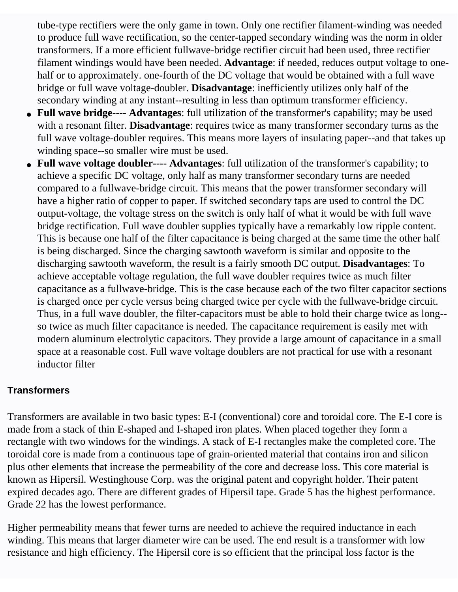tube-type rectifiers were the only game in town. Only one rectifier filament-winding was needed to produce full wave rectification, so the center-tapped secondary winding was the norm in older transformers. If a more efficient fullwave-bridge rectifier circuit had been used, three rectifier filament windings would have been needed. **Advantage**: if needed, reduces output voltage to onehalf or to approximately. one-fourth of the DC voltage that would be obtained with a full wave bridge or full wave voltage-doubler. **Disadvantage**: inefficiently utilizes only half of the secondary winding at any instant--resulting in less than optimum transformer efficiency.

- **Full wave bridge**---- **Advantages**: full utilization of the transformer's capability; may be used with a resonant filter. **Disadvantage**: requires twice as many transformer secondary turns as the full wave voltage-doubler requires. This means more layers of insulating paper--and that takes up winding space--so smaller wire must be used.
- **Full wave voltage doubler**---- **Advantages**: full utilization of the transformer's capability; to achieve a specific DC voltage, only half as many transformer secondary turns are needed compared to a fullwave-bridge circuit. This means that the power transformer secondary will have a higher ratio of copper to paper. If switched secondary taps are used to control the DC output-voltage, the voltage stress on the switch is only half of what it would be with full wave bridge rectification. Full wave doubler supplies typically have a remarkably low ripple content. This is because one half of the filter capacitance is being charged at the same time the other half is being discharged. Since the charging sawtooth waveform is similar and opposite to the discharging sawtooth waveform, the result is a fairly smooth DC output. **Disadvantages**: To achieve acceptable voltage regulation, the full wave doubler requires twice as much filter capacitance as a fullwave-bridge. This is the case because each of the two filter capacitor sections is charged once per cycle versus being charged twice per cycle with the fullwave-bridge circuit. Thus, in a full wave doubler, the filter-capacitors must be able to hold their charge twice as long- so twice as much filter capacitance is needed. The capacitance requirement is easily met with modern aluminum electrolytic capacitors. They provide a large amount of capacitance in a small space at a reasonable cost. Full wave voltage doublers are not practical for use with a resonant inductor filter

#### **Transformers**

Transformers are available in two basic types: E-I (conventional) core and toroidal core. The E-I core is made from a stack of thin E-shaped and I-shaped iron plates. When placed together they form a rectangle with two windows for the windings. A stack of E-I rectangles make the completed core. The toroidal core is made from a continuous tape of grain-oriented material that contains iron and silicon plus other elements that increase the permeability of the core and decrease loss. This core material is known as Hipersil. Westinghouse Corp. was the original patent and copyright holder. Their patent expired decades ago. There are different grades of Hipersil tape. Grade 5 has the highest performance. Grade 22 has the lowest performance.

Higher permeability means that fewer turns are needed to achieve the required inductance in each winding. This means that larger diameter wire can be used. The end result is a transformer with low resistance and high efficiency. The Hipersil core is so efficient that the principal loss factor is the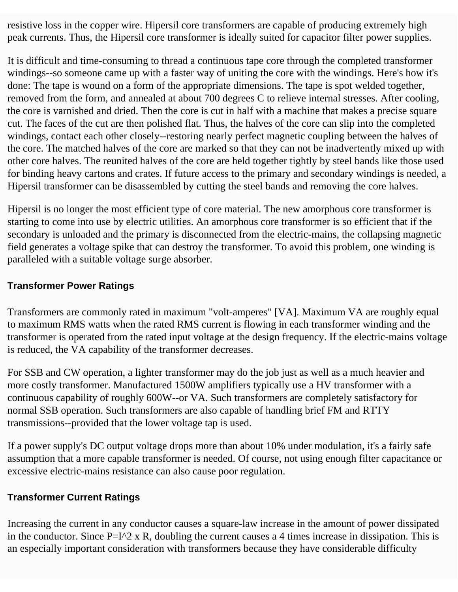resistive loss in the copper wire. Hipersil core transformers are capable of producing extremely high peak currents. Thus, the Hipersil core transformer is ideally suited for capacitor filter power supplies.

It is difficult and time-consuming to thread a continuous tape core through the completed transformer windings--so someone came up with a faster way of uniting the core with the windings. Here's how it's done: The tape is wound on a form of the appropriate dimensions. The tape is spot welded together, removed from the form, and annealed at about 700 degrees C to relieve internal stresses. After cooling, the core is varnished and dried. Then the core is cut in half with a machine that makes a precise square cut. The faces of the cut are then polished flat. Thus, the halves of the core can slip into the completed windings, contact each other closely--restoring nearly perfect magnetic coupling between the halves of the core. The matched halves of the core are marked so that they can not be inadvertently mixed up with other core halves. The reunited halves of the core are held together tightly by steel bands like those used for binding heavy cartons and crates. If future access to the primary and secondary windings is needed, a Hipersil transformer can be disassembled by cutting the steel bands and removing the core halves.

Hipersil is no longer the most efficient type of core material. The new amorphous core transformer is starting to come into use by electric utilities. An amorphous core transformer is so efficient that if the secondary is unloaded and the primary is disconnected from the electric-mains, the collapsing magnetic field generates a voltage spike that can destroy the transformer. To avoid this problem, one winding is paralleled with a suitable voltage surge absorber.

#### **Transformer Power Ratings**

Transformers are commonly rated in maximum "volt-amperes" [VA]. Maximum VA are roughly equal to maximum RMS watts when the rated RMS current is flowing in each transformer winding and the transformer is operated from the rated input voltage at the design frequency. If the electric-mains voltage is reduced, the VA capability of the transformer decreases.

For SSB and CW operation, a lighter transformer may do the job just as well as a much heavier and more costly transformer. Manufactured 1500W amplifiers typically use a HV transformer with a continuous capability of roughly 600W--or VA. Such transformers are completely satisfactory for normal SSB operation. Such transformers are also capable of handling brief FM and RTTY transmissions--provided that the lower voltage tap is used.

If a power supply's DC output voltage drops more than about 10% under modulation, it's a fairly safe assumption that a more capable transformer is needed. Of course, not using enough filter capacitance or excessive electric-mains resistance can also cause poor regulation.

#### **Transformer Current Ratings**

Increasing the current in any conductor causes a square-law increase in the amount of power dissipated in the conductor. Since  $P=I^2 \times R$ , doubling the current causes a 4 times increase in dissipation. This is an especially important consideration with transformers because they have considerable difficulty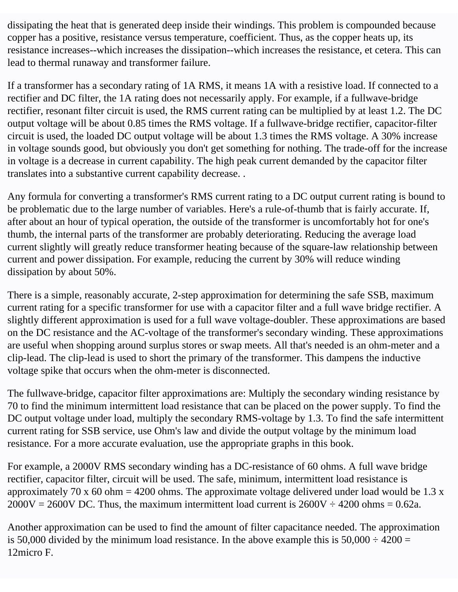dissipating the heat that is generated deep inside their windings. This problem is compounded because copper has a positive, resistance versus temperature, coefficient. Thus, as the copper heats up, its resistance increases--which increases the dissipation--which increases the resistance, et cetera. This can lead to thermal runaway and transformer failure.

If a transformer has a secondary rating of 1A RMS, it means 1A with a resistive load. If connected to a rectifier and DC filter, the 1A rating does not necessarily apply. For example, if a fullwave-bridge rectifier, resonant filter circuit is used, the RMS current rating can be multiplied by at least 1.2. The DC output voltage will be about 0.85 times the RMS voltage. If a fullwave-bridge rectifier, capacitor-filter circuit is used, the loaded DC output voltage will be about 1.3 times the RMS voltage. A 30% increase in voltage sounds good, but obviously you don't get something for nothing. The trade-off for the increase in voltage is a decrease in current capability. The high peak current demanded by the capacitor filter translates into a substantive current capability decrease. .

Any formula for converting a transformer's RMS current rating to a DC output current rating is bound to be problematic due to the large number of variables. Here's a rule-of-thumb that is fairly accurate. If, after about an hour of typical operation, the outside of the transformer is uncomfortably hot for one's thumb, the internal parts of the transformer are probably deteriorating. Reducing the average load current slightly will greatly reduce transformer heating because of the square-law relationship between current and power dissipation. For example, reducing the current by 30% will reduce winding dissipation by about 50%.

There is a simple, reasonably accurate, 2-step approximation for determining the safe SSB, maximum current rating for a specific transformer for use with a capacitor filter and a full wave bridge rectifier. A slightly different approximation is used for a full wave voltage-doubler. These approximations are based on the DC resistance and the AC-voltage of the transformer's secondary winding. These approximations are useful when shopping around surplus stores or swap meets. All that's needed is an ohm-meter and a clip-lead. The clip-lead is used to short the primary of the transformer. This dampens the inductive voltage spike that occurs when the ohm-meter is disconnected.

The fullwave-bridge, capacitor filter approximations are: Multiply the secondary winding resistance by 70 to find the minimum intermittent load resistance that can be placed on the power supply. To find the DC output voltage under load, multiply the secondary RMS-voltage by 1.3. To find the safe intermittent current rating for SSB service, use Ohm's law and divide the output voltage by the minimum load resistance. For a more accurate evaluation, use the appropriate graphs in this book.

For example, a 2000V RMS secondary winding has a DC-resistance of 60 ohms. A full wave bridge rectifier, capacitor filter, circuit will be used. The safe, minimum, intermittent load resistance is approximately 70 x 60 ohm = 4200 ohms. The approximate voltage delivered under load would be 1.3 x  $2000V = 2600V$  DC. Thus, the maximum intermittent load current is  $2600V \div 4200$  ohms = 0.62a.

Another approximation can be used to find the amount of filter capacitance needed. The approximation is 50,000 divided by the minimum load resistance. In the above example this is  $50,000 \div 4200 =$ 12micro F.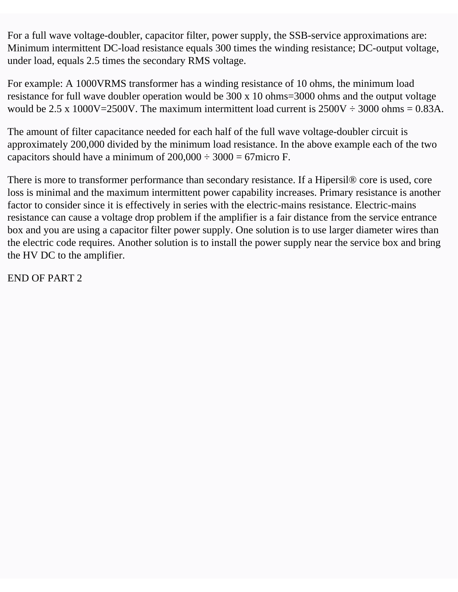For a full wave voltage-doubler, capacitor filter, power supply, the SSB-service approximations are: Minimum intermittent DC-load resistance equals 300 times the winding resistance; DC-output voltage, under load, equals 2.5 times the secondary RMS voltage.

For example: A 1000VRMS transformer has a winding resistance of 10 ohms, the minimum load resistance for full wave doubler operation would be 300 x 10 ohms=3000 ohms and the output voltage would be 2.5 x 1000V=2500V. The maximum intermittent load current is  $2500V \div 3000$  ohms = 0.83A.

The amount of filter capacitance needed for each half of the full wave voltage-doubler circuit is approximately 200,000 divided by the minimum load resistance. In the above example each of the two capacitors should have a minimum of  $200,000 \div 3000 = 67$  micro F.

There is more to transformer performance than secondary resistance. If a Hipersil® core is used, core loss is minimal and the maximum intermittent power capability increases. Primary resistance is another factor to consider since it is effectively in series with the electric-mains resistance. Electric-mains resistance can cause a voltage drop problem if the amplifier is a fair distance from the service entrance box and you are using a capacitor filter power supply. One solution is to use larger diameter wires than the electric code requires. Another solution is to install the power supply near the service box and bring the HV DC to the amplifier.

END OF PART 2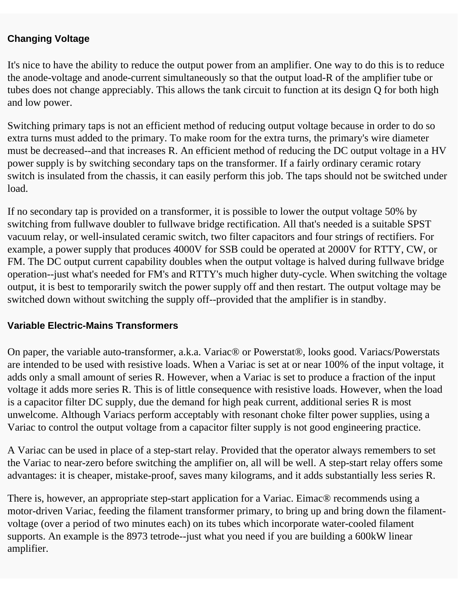#### **Changing Voltage**

It's nice to have the ability to reduce the output power from an amplifier. One way to do this is to reduce the anode-voltage and anode-current simultaneously so that the output load-R of the amplifier tube or tubes does not change appreciably. This allows the tank circuit to function at its design Q for both high and low power.

Switching primary taps is not an efficient method of reducing output voltage because in order to do so extra turns must added to the primary. To make room for the extra turns, the primary's wire diameter must be decreased--and that increases R. An efficient method of reducing the DC output voltage in a HV power supply is by switching secondary taps on the transformer. If a fairly ordinary ceramic rotary switch is insulated from the chassis, it can easily perform this job. The taps should not be switched under load.

If no secondary tap is provided on a transformer, it is possible to lower the output voltage 50% by switching from fullwave doubler to fullwave bridge rectification. All that's needed is a suitable SPST vacuum relay, or well-insulated ceramic switch, two filter capacitors and four strings of rectifiers. For example, a power supply that produces 4000V for SSB could be operated at 2000V for RTTY, CW, or FM. The DC output current capability doubles when the output voltage is halved during fullwave bridge operation--just what's needed for FM's and RTTY's much higher duty-cycle. When switching the voltage output, it is best to temporarily switch the power supply off and then restart. The output voltage may be switched down without switching the supply off--provided that the amplifier is in standby.

#### **Variable Electric-Mains Transformers**

On paper, the variable auto-transformer, a.k.a. Variac® or Powerstat®, looks good. Variacs/Powerstats are intended to be used with resistive loads. When a Variac is set at or near 100% of the input voltage, it adds only a small amount of series R. However, when a Variac is set to produce a fraction of the input voltage it adds more series R. This is of little consequence with resistive loads. However, when the load is a capacitor filter DC supply, due the demand for high peak current, additional series R is most unwelcome. Although Variacs perform acceptably with resonant choke filter power supplies, using a Variac to control the output voltage from a capacitor filter supply is not good engineering practice.

A Variac can be used in place of a step-start relay. Provided that the operator always remembers to set the Variac to near-zero before switching the amplifier on, all will be well. A step-start relay offers some advantages: it is cheaper, mistake-proof, saves many kilograms, and it adds substantially less series R.

There is, however, an appropriate step-start application for a Variac. Eimac® recommends using a motor-driven Variac, feeding the filament transformer primary, to bring up and bring down the filamentvoltage (over a period of two minutes each) on its tubes which incorporate water-cooled filament supports. An example is the 8973 tetrode--just what you need if you are building a 600kW linear amplifier.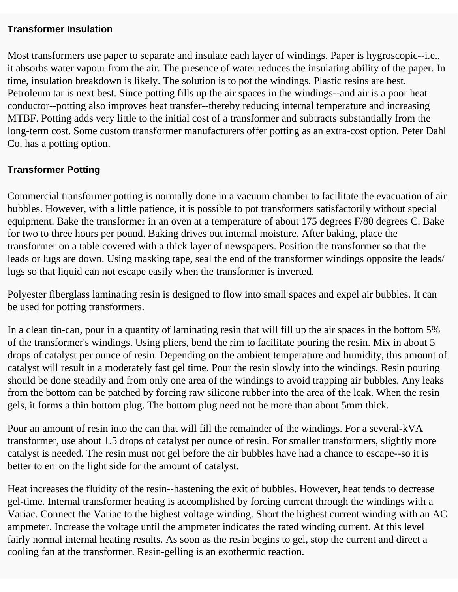#### **Transformer Insulation**

Most transformers use paper to separate and insulate each layer of windings. Paper is hygroscopic--i.e., it absorbs water vapour from the air. The presence of water reduces the insulating ability of the paper. In time, insulation breakdown is likely. The solution is to pot the windings. Plastic resins are best. Petroleum tar is next best. Since potting fills up the air spaces in the windings--and air is a poor heat conductor--potting also improves heat transfer--thereby reducing internal temperature and increasing MTBF. Potting adds very little to the initial cost of a transformer and subtracts substantially from the long-term cost. Some custom transformer manufacturers offer potting as an extra-cost option. Peter Dahl Co. has a potting option.

#### **Transformer Potting**

Commercial transformer potting is normally done in a vacuum chamber to facilitate the evacuation of air bubbles. However, with a little patience, it is possible to pot transformers satisfactorily without special equipment. Bake the transformer in an oven at a temperature of about 175 degrees F/80 degrees C. Bake for two to three hours per pound. Baking drives out internal moisture. After baking, place the transformer on a table covered with a thick layer of newspapers. Position the transformer so that the leads or lugs are down. Using masking tape, seal the end of the transformer windings opposite the leads/ lugs so that liquid can not escape easily when the transformer is inverted.

Polyester fiberglass laminating resin is designed to flow into small spaces and expel air bubbles. It can be used for potting transformers.

In a clean tin-can, pour in a quantity of laminating resin that will fill up the air spaces in the bottom 5% of the transformer's windings. Using pliers, bend the rim to facilitate pouring the resin. Mix in about 5 drops of catalyst per ounce of resin. Depending on the ambient temperature and humidity, this amount of catalyst will result in a moderately fast gel time. Pour the resin slowly into the windings. Resin pouring should be done steadily and from only one area of the windings to avoid trapping air bubbles. Any leaks from the bottom can be patched by forcing raw silicone rubber into the area of the leak. When the resin gels, it forms a thin bottom plug. The bottom plug need not be more than about 5mm thick.

Pour an amount of resin into the can that will fill the remainder of the windings. For a several-kVA transformer, use about 1.5 drops of catalyst per ounce of resin. For smaller transformers, slightly more catalyst is needed. The resin must not gel before the air bubbles have had a chance to escape--so it is better to err on the light side for the amount of catalyst.

Heat increases the fluidity of the resin--hastening the exit of bubbles. However, heat tends to decrease gel-time. Internal transformer heating is accomplished by forcing current through the windings with a Variac. Connect the Variac to the highest voltage winding. Short the highest current winding with an AC ampmeter. Increase the voltage until the ampmeter indicates the rated winding current. At this level fairly normal internal heating results. As soon as the resin begins to gel, stop the current and direct a cooling fan at the transformer. Resin-gelling is an exothermic reaction.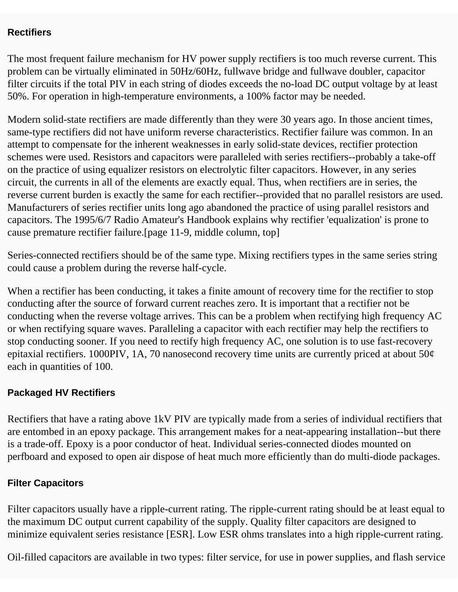#### **Rectifiers**

The most frequent failure mechanism for HV power supply rectifiers is too much reverse current. This problem can be virtually eliminated in 50Hz/60Hz, fullwave bridge and fullwave doubler, capacitor filter circuits if the total PIV in each string of diodes exceeds the no-load DC output voltage by at least 50%. For operation in high-temperature environments, a 100% factor may be needed.

Modern solid-state rectifiers are made differently than they were 30 years ago. In those ancient times, same-type rectifiers did not have uniform reverse characteristics. Rectifier failure was common. In an attempt to compensate for the inherent weaknesses in early solid-state devices, rectifier protection schemes were used. Resistors and capacitors were paralleled with series rectifiers--probably a take-off on the practice of using equalizer resistors on electrolytic filter capacitors. However, in any series circuit, the currents in all of the elements are exactly equal. Thus, when rectifiers are in series, the reverse current burden is exactly the same for each rectifier--provided that no parallel resistors are used. Manufacturers of series rectifier units long ago abandoned the practice of using parallel resistors and capacitors. The 1995/6/7 Radio Amateur's Handbook explains why rectifier 'equalization' is prone to cause premature rectifier failure.[page 11-9, middle column, top]

Series-connected rectifiers should be of the same type. Mixing rectifiers types in the same series string could cause a problem during the reverse half-cycle.

When a rectifier has been conducting, it takes a finite amount of recovery time for the rectifier to stop conducting after the source of forward current reaches zero. It is important that a rectifier not be conducting when the reverse voltage arrives. This can be a problem when rectifying high frequency AC or when rectifying square waves. Paralleling a capacitor with each rectifier may help the rectifiers to stop conducting sooner. If you need to rectify high frequency AC, one solution is to use fast-recovery epitaxial rectifiers. 1000PIV, 1A, 70 nanosecond recovery time units are currently priced at about 50¢ each in quantities of 100.

#### **Packaged HV Rectifiers**

Rectifiers that have a rating above 1kV PIV are typically made from a series of individual rectifiers that are entombed in an epoxy package. This arrangement makes for a neat-appearing installation--but there is a trade-off. Epoxy is a poor conductor of heat. Individual series-connected diodes mounted on perfboard and exposed to open air dispose of heat much more efficiently than do multi-diode packages.

#### **Filter Capacitors**

Filter capacitors usually have a ripple-current rating. The ripple-current rating should be at least equal to the maximum DC output current capability of the supply. Quality filter capacitors are designed to minimize equivalent series resistance [ESR]. Low ESR ohms translates into a high ripple-current rating.

Oil-filled capacitors are available in two types: filter service, for use in power supplies, and flash service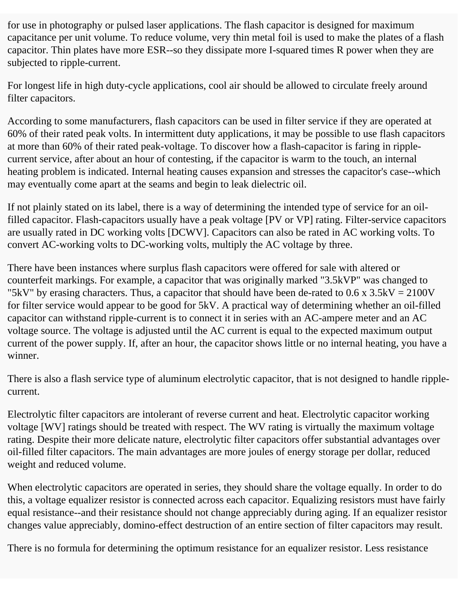for use in photography or pulsed laser applications. The flash capacitor is designed for maximum capacitance per unit volume. To reduce volume, very thin metal foil is used to make the plates of a flash capacitor. Thin plates have more ESR--so they dissipate more I-squared times R power when they are subjected to ripple-current.

For longest life in high duty-cycle applications, cool air should be allowed to circulate freely around filter capacitors.

According to some manufacturers, flash capacitors can be used in filter service if they are operated at 60% of their rated peak volts. In intermittent duty applications, it may be possible to use flash capacitors at more than 60% of their rated peak-voltage. To discover how a flash-capacitor is faring in ripplecurrent service, after about an hour of contesting, if the capacitor is warm to the touch, an internal heating problem is indicated. Internal heating causes expansion and stresses the capacitor's case--which may eventually come apart at the seams and begin to leak dielectric oil.

If not plainly stated on its label, there is a way of determining the intended type of service for an oilfilled capacitor. Flash-capacitors usually have a peak voltage [PV or VP] rating. Filter-service capacitors are usually rated in DC working volts [DCWV]. Capacitors can also be rated in AC working volts. To convert AC-working volts to DC-working volts, multiply the AC voltage by three.

There have been instances where surplus flash capacitors were offered for sale with altered or counterfeit markings. For example, a capacitor that was originally marked "3.5kVP" was changed to "5kV" by erasing characters. Thus, a capacitor that should have been de-rated to  $0.6 \times 3.5$ kV = 2100V for filter service would appear to be good for 5kV. A practical way of determining whether an oil-filled capacitor can withstand ripple-current is to connect it in series with an AC-ampere meter and an AC voltage source. The voltage is adjusted until the AC current is equal to the expected maximum output current of the power supply. If, after an hour, the capacitor shows little or no internal heating, you have a winner.

There is also a flash service type of aluminum electrolytic capacitor, that is not designed to handle ripplecurrent.

Electrolytic filter capacitors are intolerant of reverse current and heat. Electrolytic capacitor working voltage [WV] ratings should be treated with respect. The WV rating is virtually the maximum voltage rating. Despite their more delicate nature, electrolytic filter capacitors offer substantial advantages over oil-filled filter capacitors. The main advantages are more joules of energy storage per dollar, reduced weight and reduced volume.

When electrolytic capacitors are operated in series, they should share the voltage equally. In order to do this, a voltage equalizer resistor is connected across each capacitor. Equalizing resistors must have fairly equal resistance--and their resistance should not change appreciably during aging. If an equalizer resistor changes value appreciably, domino-effect destruction of an entire section of filter capacitors may result.

There is no formula for determining the optimum resistance for an equalizer resistor. Less resistance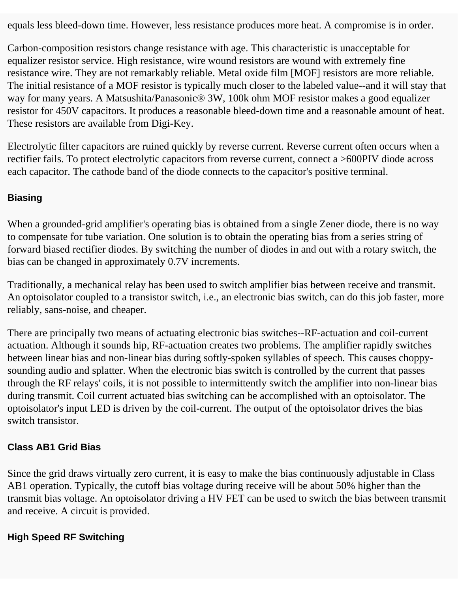equals less bleed-down time. However, less resistance produces more heat. A compromise is in order.

Carbon-composition resistors change resistance with age. This characteristic is unacceptable for equalizer resistor service. High resistance, wire wound resistors are wound with extremely fine resistance wire. They are not remarkably reliable. Metal oxide film [MOF] resistors are more reliable. The initial resistance of a MOF resistor is typically much closer to the labeled value--and it will stay that way for many years. A Matsushita/Panasonic® 3W, 100k ohm MOF resistor makes a good equalizer resistor for 450V capacitors. It produces a reasonable bleed-down time and a reasonable amount of heat. These resistors are available from Digi-Key.

Electrolytic filter capacitors are ruined quickly by reverse current. Reverse current often occurs when a rectifier fails. To protect electrolytic capacitors from reverse current, connect a >600PIV diode across each capacitor. The cathode band of the diode connects to the capacitor's positive terminal.

#### **Biasing**

When a grounded-grid amplifier's operating bias is obtained from a single Zener diode, there is no way to compensate for tube variation. One solution is to obtain the operating bias from a series string of forward biased rectifier diodes. By switching the number of diodes in and out with a rotary switch, the bias can be changed in approximately 0.7V increments.

Traditionally, a mechanical relay has been used to switch amplifier bias between receive and transmit. An optoisolator coupled to a transistor switch, i.e., an electronic bias switch, can do this job faster, more reliably, sans-noise, and cheaper.

There are principally two means of actuating electronic bias switches--RF-actuation and coil-current actuation. Although it sounds hip, RF-actuation creates two problems. The amplifier rapidly switches between linear bias and non-linear bias during softly-spoken syllables of speech. This causes choppysounding audio and splatter. When the electronic bias switch is controlled by the current that passes through the RF relays' coils, it is not possible to intermittently switch the amplifier into non-linear bias during transmit. Coil current actuated bias switching can be accomplished with an optoisolator. The optoisolator's input LED is driven by the coil-current. The output of the optoisolator drives the bias switch transistor.

#### **Class AB1 Grid Bias**

Since the grid draws virtually zero current, it is easy to make the bias continuously adjustable in Class AB1 operation. Typically, the cutoff bias voltage during receive will be about 50% higher than the transmit bias voltage. An optoisolator driving a HV FET can be used to switch the bias between transmit and receive. A circuit is provided.

#### **High Speed RF Switching**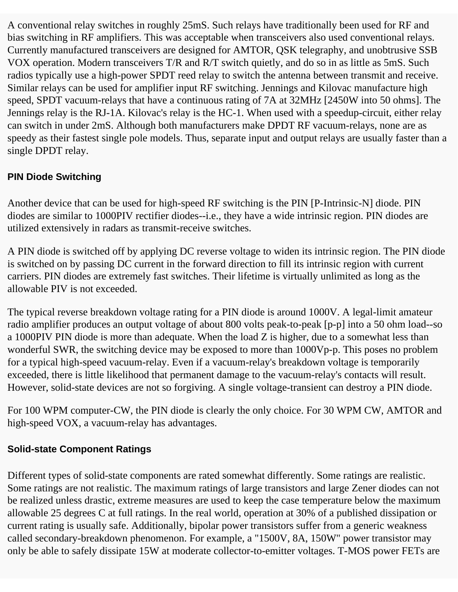A conventional relay switches in roughly 25mS. Such relays have traditionally been used for RF and bias switching in RF amplifiers. This was acceptable when transceivers also used conventional relays. Currently manufactured transceivers are designed for AMTOR, QSK telegraphy, and unobtrusive SSB VOX operation. Modern transceivers T/R and R/T switch quietly, and do so in as little as 5mS. Such radios typically use a high-power SPDT reed relay to switch the antenna between transmit and receive. Similar relays can be used for amplifier input RF switching. Jennings and Kilovac manufacture high speed, SPDT vacuum-relays that have a continuous rating of 7A at 32MHz [2450W into 50 ohms]. The Jennings relay is the RJ-1A. Kilovac's relay is the HC-1. When used with a speedup-circuit, either relay can switch in under 2mS. Although both manufacturers make DPDT RF vacuum-relays, none are as speedy as their fastest single pole models. Thus, separate input and output relays are usually faster than a single DPDT relay.

#### **PIN Diode Switching**

Another device that can be used for high-speed RF switching is the PIN [P-Intrinsic-N] diode. PIN diodes are similar to 1000PIV rectifier diodes--i.e., they have a wide intrinsic region. PIN diodes are utilized extensively in radars as transmit-receive switches.

A PIN diode is switched off by applying DC reverse voltage to widen its intrinsic region. The PIN diode is switched on by passing DC current in the forward direction to fill its intrinsic region with current carriers. PIN diodes are extremely fast switches. Their lifetime is virtually unlimited as long as the allowable PIV is not exceeded.

The typical reverse breakdown voltage rating for a PIN diode is around 1000V. A legal-limit amateur radio amplifier produces an output voltage of about 800 volts peak-to-peak [p-p] into a 50 ohm load--so a 1000PIV PIN diode is more than adequate. When the load Z is higher, due to a somewhat less than wonderful SWR, the switching device may be exposed to more than 1000Vp-p. This poses no problem for a typical high-speed vacuum-relay. Even if a vacuum-relay's breakdown voltage is temporarily exceeded, there is little likelihood that permanent damage to the vacuum-relay's contacts will result. However, solid-state devices are not so forgiving. A single voltage-transient can destroy a PIN diode.

For 100 WPM computer-CW, the PIN diode is clearly the only choice. For 30 WPM CW, AMTOR and high-speed VOX, a vacuum-relay has advantages.

#### **Solid-state Component Ratings**

Different types of solid-state components are rated somewhat differently. Some ratings are realistic. Some ratings are not realistic. The maximum ratings of large transistors and large Zener diodes can not be realized unless drastic, extreme measures are used to keep the case temperature below the maximum allowable 25 degrees C at full ratings. In the real world, operation at 30% of a published dissipation or current rating is usually safe. Additionally, bipolar power transistors suffer from a generic weakness called secondary-breakdown phenomenon. For example, a "1500V, 8A, 150W" power transistor may only be able to safely dissipate 15W at moderate collector-to-emitter voltages. T-MOS power FETs are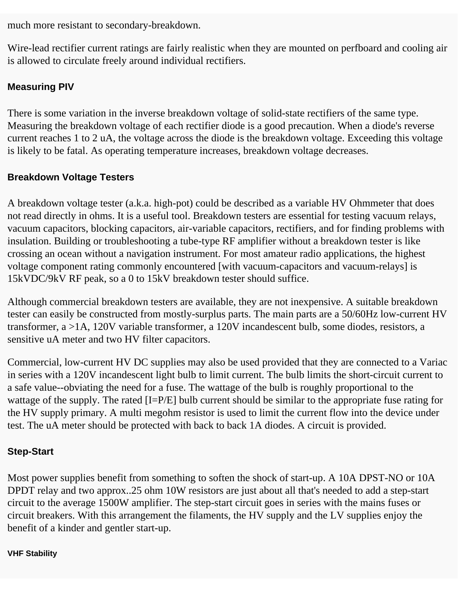much more resistant to secondary-breakdown.

Wire-lead rectifier current ratings are fairly realistic when they are mounted on perfboard and cooling air is allowed to circulate freely around individual rectifiers.

#### **Measuring PIV**

There is some variation in the inverse breakdown voltage of solid-state rectifiers of the same type. Measuring the breakdown voltage of each rectifier diode is a good precaution. When a diode's reverse current reaches 1 to 2 uA, the voltage across the diode is the breakdown voltage. Exceeding this voltage is likely to be fatal. As operating temperature increases, breakdown voltage decreases.

#### **Breakdown Voltage Testers**

A breakdown voltage tester (a.k.a. high-pot) could be described as a variable HV Ohmmeter that does not read directly in ohms. It is a useful tool. Breakdown testers are essential for testing vacuum relays, vacuum capacitors, blocking capacitors, air-variable capacitors, rectifiers, and for finding problems with insulation. Building or troubleshooting a tube-type RF amplifier without a breakdown tester is like crossing an ocean without a navigation instrument. For most amateur radio applications, the highest voltage component rating commonly encountered [with vacuum-capacitors and vacuum-relays] is 15kVDC/9kV RF peak, so a 0 to 15kV breakdown tester should suffice.

Although commercial breakdown testers are available, they are not inexpensive. A suitable breakdown tester can easily be constructed from mostly-surplus parts. The main parts are a 50/60Hz low-current HV transformer, a >1A, 120V variable transformer, a 120V incandescent bulb, some diodes, resistors, a sensitive uA meter and two HV filter capacitors.

Commercial, low-current HV DC supplies may also be used provided that they are connected to a Variac in series with a 120V incandescent light bulb to limit current. The bulb limits the short-circuit current to a safe value--obviating the need for a fuse. The wattage of the bulb is roughly proportional to the wattage of the supply. The rated [I=P/E] bulb current should be similar to the appropriate fuse rating for the HV supply primary. A multi megohm resistor is used to limit the current flow into the device under test. The uA meter should be protected with back to back 1A diodes. A circuit is provided.

#### **Step-Start**

Most power supplies benefit from something to soften the shock of start-up. A 10A DPST-NO or 10A DPDT relay and two approx..25 ohm 10W resistors are just about all that's needed to add a step-start circuit to the average 1500W amplifier. The step-start circuit goes in series with the mains fuses or circuit breakers. With this arrangement the filaments, the HV supply and the LV supplies enjoy the benefit of a kinder and gentler start-up.

#### **VHF Stability**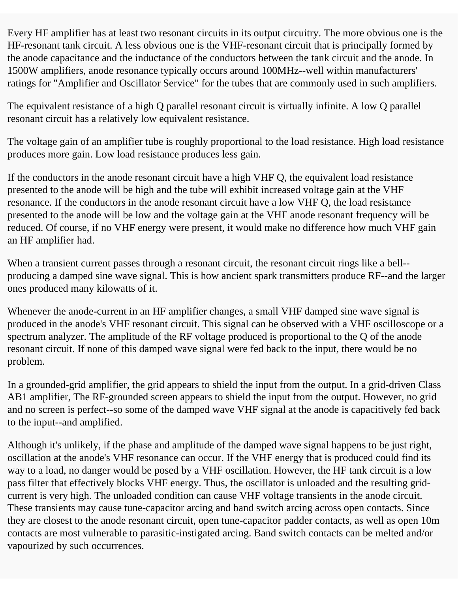Every HF amplifier has at least two resonant circuits in its output circuitry. The more obvious one is the HF-resonant tank circuit. A less obvious one is the VHF-resonant circuit that is principally formed by the anode capacitance and the inductance of the conductors between the tank circuit and the anode. In 1500W amplifiers, anode resonance typically occurs around 100MHz--well within manufacturers' ratings for "Amplifier and Oscillator Service" for the tubes that are commonly used in such amplifiers.

The equivalent resistance of a high Q parallel resonant circuit is virtually infinite. A low Q parallel resonant circuit has a relatively low equivalent resistance.

The voltage gain of an amplifier tube is roughly proportional to the load resistance. High load resistance produces more gain. Low load resistance produces less gain.

If the conductors in the anode resonant circuit have a high VHF Q, the equivalent load resistance presented to the anode will be high and the tube will exhibit increased voltage gain at the VHF resonance. If the conductors in the anode resonant circuit have a low VHF Q, the load resistance presented to the anode will be low and the voltage gain at the VHF anode resonant frequency will be reduced. Of course, if no VHF energy were present, it would make no difference how much VHF gain an HF amplifier had.

When a transient current passes through a resonant circuit, the resonant circuit rings like a bell-producing a damped sine wave signal. This is how ancient spark transmitters produce RF--and the larger ones produced many kilowatts of it.

Whenever the anode-current in an HF amplifier changes, a small VHF damped sine wave signal is produced in the anode's VHF resonant circuit. This signal can be observed with a VHF oscilloscope or a spectrum analyzer. The amplitude of the RF voltage produced is proportional to the Q of the anode resonant circuit. If none of this damped wave signal were fed back to the input, there would be no problem.

In a grounded-grid amplifier, the grid appears to shield the input from the output. In a grid-driven Class AB1 amplifier, The RF-grounded screen appears to shield the input from the output. However, no grid and no screen is perfect--so some of the damped wave VHF signal at the anode is capacitively fed back to the input--and amplified.

Although it's unlikely, if the phase and amplitude of the damped wave signal happens to be just right, oscillation at the anode's VHF resonance can occur. If the VHF energy that is produced could find its way to a load, no danger would be posed by a VHF oscillation. However, the HF tank circuit is a low pass filter that effectively blocks VHF energy. Thus, the oscillator is unloaded and the resulting gridcurrent is very high. The unloaded condition can cause VHF voltage transients in the anode circuit. These transients may cause tune-capacitor arcing and band switch arcing across open contacts. Since they are closest to the anode resonant circuit, open tune-capacitor padder contacts, as well as open 10m contacts are most vulnerable to parasitic-instigated arcing. Band switch contacts can be melted and/or vapourized by such occurrences.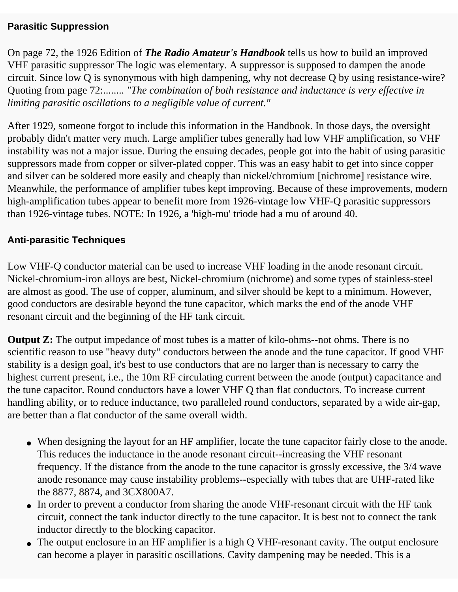#### **Parasitic Suppression**

On page 72, the 1926 Edition of *The Radio Amateur's Handbook* tells us how to build an improved VHF parasitic suppressor The logic was elementary. A suppressor is supposed to dampen the anode circuit. Since low Q is synonymous with high dampening, why not decrease Q by using resistance-wire? Quoting from page 72:........ *"The combination of both resistance and inductance is very effective in limiting parasitic oscillations to a negligible value of current."* 

After 1929, someone forgot to include this information in the Handbook. In those days, the oversight probably didn't matter very much. Large amplifier tubes generally had low VHF amplification, so VHF instability was not a major issue. During the ensuing decades, people got into the habit of using parasitic suppressors made from copper or silver-plated copper. This was an easy habit to get into since copper and silver can be soldered more easily and cheaply than nickel/chromium [nichrome] resistance wire. Meanwhile, the performance of amplifier tubes kept improving. Because of these improvements, modern high-amplification tubes appear to benefit more from 1926-vintage low VHF-Q parasitic suppressors than 1926-vintage tubes. NOTE: In 1926, a 'high-mu' triode had a mu of around 40.

#### **Anti-parasitic Techniques**

Low VHF-Q conductor material can be used to increase VHF loading in the anode resonant circuit. Nickel-chromium-iron alloys are best, Nickel-chromium (nichrome) and some types of stainless-steel are almost as good. The use of copper, aluminum, and silver should be kept to a minimum. However, good conductors are desirable beyond the tune capacitor, which marks the end of the anode VHF resonant circuit and the beginning of the HF tank circuit.

**Output Z:** The output impedance of most tubes is a matter of kilo-ohms--not ohms. There is no scientific reason to use "heavy duty" conductors between the anode and the tune capacitor. If good VHF stability is a design goal, it's best to use conductors that are no larger than is necessary to carry the highest current present, i.e., the 10m RF circulating current between the anode (output) capacitance and the tune capacitor. Round conductors have a lower VHF Q than flat conductors. To increase current handling ability, or to reduce inductance, two paralleled round conductors, separated by a wide air-gap, are better than a flat conductor of the same overall width.

- When designing the layout for an HF amplifier, locate the tune capacitor fairly close to the anode. This reduces the inductance in the anode resonant circuit--increasing the VHF resonant frequency. If the distance from the anode to the tune capacitor is grossly excessive, the 3/4 wave anode resonance may cause instability problems--especially with tubes that are UHF-rated like the 8877, 8874, and 3CX800A7.
- In order to prevent a conductor from sharing the anode VHF-resonant circuit with the HF tank circuit, connect the tank inductor directly to the tune capacitor. It is best not to connect the tank inductor directly to the blocking capacitor.
- The output enclosure in an HF amplifier is a high Q VHF-resonant cavity. The output enclosure can become a player in parasitic oscillations. Cavity dampening may be needed. This is a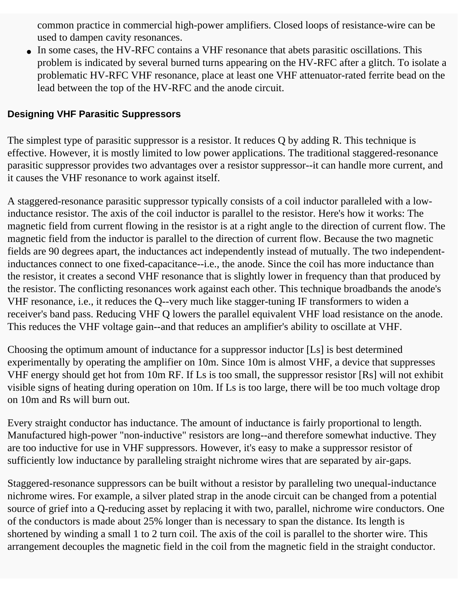common practice in commercial high-power amplifiers. Closed loops of resistance-wire can be used to dampen cavity resonances.

• In some cases, the HV-RFC contains a VHF resonance that abets parasitic oscillations. This problem is indicated by several burned turns appearing on the HV-RFC after a glitch. To isolate a problematic HV-RFC VHF resonance, place at least one VHF attenuator-rated ferrite bead on the lead between the top of the HV-RFC and the anode circuit.

#### **Designing VHF Parasitic Suppressors**

The simplest type of parasitic suppressor is a resistor. It reduces Q by adding R. This technique is effective. However, it is mostly limited to low power applications. The traditional staggered-resonance parasitic suppressor provides two advantages over a resistor suppressor--it can handle more current, and it causes the VHF resonance to work against itself.

A staggered-resonance parasitic suppressor typically consists of a coil inductor paralleled with a lowinductance resistor. The axis of the coil inductor is parallel to the resistor. Here's how it works: The magnetic field from current flowing in the resistor is at a right angle to the direction of current flow. The magnetic field from the inductor is parallel to the direction of current flow. Because the two magnetic fields are 90 degrees apart, the inductances act independently instead of mutually. The two independentinductances connect to one fixed-capacitance--i.e., the anode. Since the coil has more inductance than the resistor, it creates a second VHF resonance that is slightly lower in frequency than that produced by the resistor. The conflicting resonances work against each other. This technique broadbands the anode's VHF resonance, i.e., it reduces the Q--very much like stagger-tuning IF transformers to widen a receiver's band pass. Reducing VHF Q lowers the parallel equivalent VHF load resistance on the anode. This reduces the VHF voltage gain--and that reduces an amplifier's ability to oscillate at VHF.

Choosing the optimum amount of inductance for a suppressor inductor [Ls] is best determined experimentally by operating the amplifier on 10m. Since 10m is almost VHF, a device that suppresses VHF energy should get hot from 10m RF. If Ls is too small, the suppressor resistor [Rs] will not exhibit visible signs of heating during operation on 10m. If Ls is too large, there will be too much voltage drop on 10m and Rs will burn out.

Every straight conductor has inductance. The amount of inductance is fairly proportional to length. Manufactured high-power "non-inductive" resistors are long--and therefore somewhat inductive. They are too inductive for use in VHF suppressors. However, it's easy to make a suppressor resistor of sufficiently low inductance by paralleling straight nichrome wires that are separated by air-gaps.

Staggered-resonance suppressors can be built without a resistor by paralleling two unequal-inductance nichrome wires. For example, a silver plated strap in the anode circuit can be changed from a potential source of grief into a Q-reducing asset by replacing it with two, parallel, nichrome wire conductors. One of the conductors is made about 25% longer than is necessary to span the distance. Its length is shortened by winding a small 1 to 2 turn coil. The axis of the coil is parallel to the shorter wire. This arrangement decouples the magnetic field in the coil from the magnetic field in the straight conductor.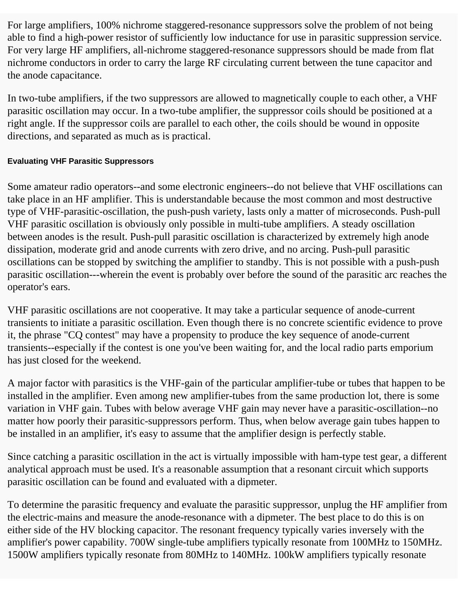For large amplifiers, 100% nichrome staggered-resonance suppressors solve the problem of not being able to find a high-power resistor of sufficiently low inductance for use in parasitic suppression service. For very large HF amplifiers, all-nichrome staggered-resonance suppressors should be made from flat nichrome conductors in order to carry the large RF circulating current between the tune capacitor and the anode capacitance.

In two-tube amplifiers, if the two suppressors are allowed to magnetically couple to each other, a VHF parasitic oscillation may occur. In a two-tube amplifier, the suppressor coils should be positioned at a right angle. If the suppressor coils are parallel to each other, the coils should be wound in opposite directions, and separated as much as is practical.

#### **Evaluating VHF Parasitic Suppressors**

Some amateur radio operators--and some electronic engineers--do not believe that VHF oscillations can take place in an HF amplifier. This is understandable because the most common and most destructive type of VHF-parasitic-oscillation, the push-push variety, lasts only a matter of microseconds. Push-pull VHF parasitic oscillation is obviously only possible in multi-tube amplifiers. A steady oscillation between anodes is the result. Push-pull parasitic oscillation is characterized by extremely high anode dissipation, moderate grid and anode currents with zero drive, and no arcing. Push-pull parasitic oscillations can be stopped by switching the amplifier to standby. This is not possible with a push-push parasitic oscillation---wherein the event is probably over before the sound of the parasitic arc reaches the operator's ears.

VHF parasitic oscillations are not cooperative. It may take a particular sequence of anode-current transients to initiate a parasitic oscillation. Even though there is no concrete scientific evidence to prove it, the phrase "CQ contest" may have a propensity to produce the key sequence of anode-current transients--especially if the contest is one you've been waiting for, and the local radio parts emporium has just closed for the weekend.

A major factor with parasitics is the VHF-gain of the particular amplifier-tube or tubes that happen to be installed in the amplifier. Even among new amplifier-tubes from the same production lot, there is some variation in VHF gain. Tubes with below average VHF gain may never have a parasitic-oscillation--no matter how poorly their parasitic-suppressors perform. Thus, when below average gain tubes happen to be installed in an amplifier, it's easy to assume that the amplifier design is perfectly stable.

Since catching a parasitic oscillation in the act is virtually impossible with ham-type test gear, a different analytical approach must be used. It's a reasonable assumption that a resonant circuit which supports parasitic oscillation can be found and evaluated with a dipmeter.

To determine the parasitic frequency and evaluate the parasitic suppressor, unplug the HF amplifier from the electric-mains and measure the anode-resonance with a dipmeter. The best place to do this is on either side of the HV blocking capacitor. The resonant frequency typically varies inversely with the amplifier's power capability. 700W single-tube amplifiers typically resonate from 100MHz to 150MHz. 1500W amplifiers typically resonate from 80MHz to 140MHz. 100kW amplifiers typically resonate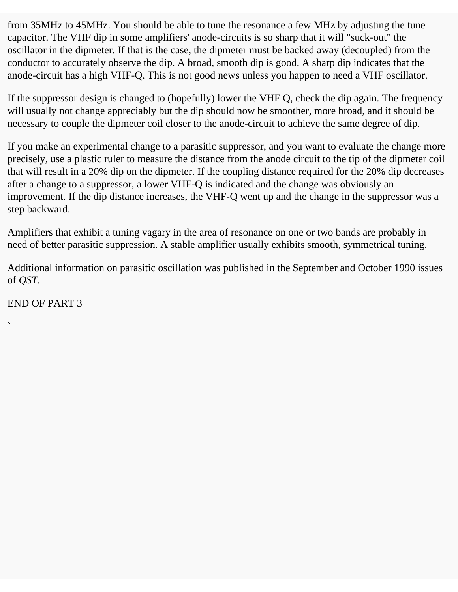from 35MHz to 45MHz. You should be able to tune the resonance a few MHz by adjusting the tune capacitor. The VHF dip in some amplifiers' anode-circuits is so sharp that it will "suck-out" the oscillator in the dipmeter. If that is the case, the dipmeter must be backed away (decoupled) from the conductor to accurately observe the dip. A broad, smooth dip is good. A sharp dip indicates that the anode-circuit has a high VHF-Q. This is not good news unless you happen to need a VHF oscillator.

If the suppressor design is changed to (hopefully) lower the VHF Q, check the dip again. The frequency will usually not change appreciably but the dip should now be smoother, more broad, and it should be necessary to couple the dipmeter coil closer to the anode-circuit to achieve the same degree of dip.

If you make an experimental change to a parasitic suppressor, and you want to evaluate the change more precisely, use a plastic ruler to measure the distance from the anode circuit to the tip of the dipmeter coil that will result in a 20% dip on the dipmeter. If the coupling distance required for the 20% dip decreases after a change to a suppressor, a lower VHF-Q is indicated and the change was obviously an improvement. If the dip distance increases, the VHF-Q went up and the change in the suppressor was a step backward.

Amplifiers that exhibit a tuning vagary in the area of resonance on one or two bands are probably in need of better parasitic suppression. A stable amplifier usually exhibits smooth, symmetrical tuning.

Additional information on parasitic oscillation was published in the September and October 1990 issues of *QST*.

END OF PART 3

`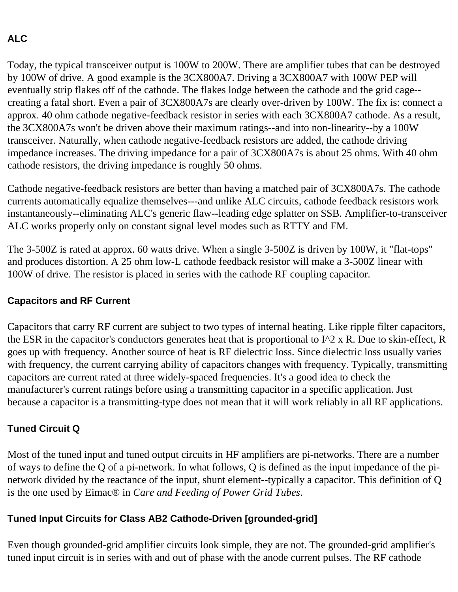#### **ALC**

Today, the typical transceiver output is 100W to 200W. There are amplifier tubes that can be destroyed by 100W of drive. A good example is the 3CX800A7. Driving a 3CX800A7 with 100W PEP will eventually strip flakes off of the cathode. The flakes lodge between the cathode and the grid cage- creating a fatal short. Even a pair of 3CX800A7s are clearly over-driven by 100W. The fix is: connect a approx. 40 ohm cathode negative-feedback resistor in series with each 3CX800A7 cathode. As a result, the 3CX800A7s won't be driven above their maximum ratings--and into non-linearity--by a 100W transceiver. Naturally, when cathode negative-feedback resistors are added, the cathode driving impedance increases. The driving impedance for a pair of 3CX800A7s is about 25 ohms. With 40 ohm cathode resistors, the driving impedance is roughly 50 ohms.

Cathode negative-feedback resistors are better than having a matched pair of 3CX800A7s. The cathode currents automatically equalize themselves---and unlike ALC circuits, cathode feedback resistors work instantaneously--eliminating ALC's generic flaw--leading edge splatter on SSB. Amplifier-to-transceiver ALC works properly only on constant signal level modes such as RTTY and FM.

The 3-500Z is rated at approx. 60 watts drive. When a single 3-500Z is driven by 100W, it "flat-tops" and produces distortion. A 25 ohm low-L cathode feedback resistor will make a 3-500Z linear with 100W of drive. The resistor is placed in series with the cathode RF coupling capacitor.

#### **Capacitors and RF Current**

Capacitors that carry RF current are subject to two types of internal heating. Like ripple filter capacitors, the ESR in the capacitor's conductors generates heat that is proportional to  $I^2 \times R$ . Due to skin-effect, R goes up with frequency. Another source of heat is RF dielectric loss. Since dielectric loss usually varies with frequency, the current carrying ability of capacitors changes with frequency. Typically, transmitting capacitors are current rated at three widely-spaced frequencies. It's a good idea to check the manufacturer's current ratings before using a transmitting capacitor in a specific application. Just because a capacitor is a transmitting-type does not mean that it will work reliably in all RF applications.

#### **Tuned Circuit Q**

Most of the tuned input and tuned output circuits in HF amplifiers are pi-networks. There are a number of ways to define the Q of a pi-network. In what follows, Q is defined as the input impedance of the pinetwork divided by the reactance of the input, shunt element--typically a capacitor. This definition of Q is the one used by Eimac® in *Care and Feeding of Power Grid Tubes*.

#### **Tuned Input Circuits for Class AB2 Cathode-Driven [grounded-grid]**

Even though grounded-grid amplifier circuits look simple, they are not. The grounded-grid amplifier's tuned input circuit is in series with and out of phase with the anode current pulses. The RF cathode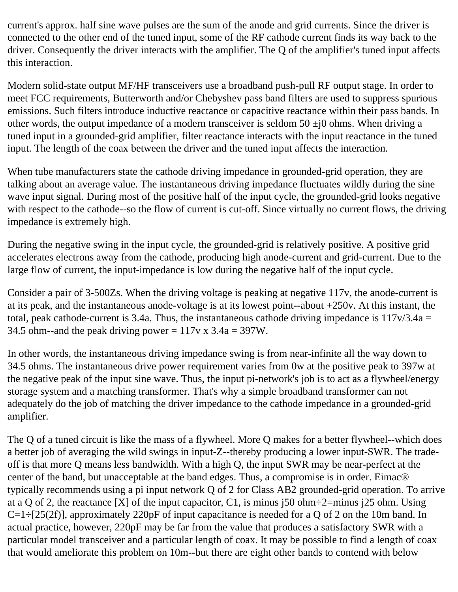current's approx. half sine wave pulses are the sum of the anode and grid currents. Since the driver is connected to the other end of the tuned input, some of the RF cathode current finds its way back to the driver. Consequently the driver interacts with the amplifier. The Q of the amplifier's tuned input affects this interaction.

Modern solid-state output MF/HF transceivers use a broadband push-pull RF output stage. In order to meet FCC requirements, Butterworth and/or Chebyshev pass band filters are used to suppress spurious emissions. Such filters introduce inductive reactance or capacitive reactance within their pass bands. In other words, the output impedance of a modern transceiver is seldom  $50 \pm i0$  ohms. When driving a tuned input in a grounded-grid amplifier, filter reactance interacts with the input reactance in the tuned input. The length of the coax between the driver and the tuned input affects the interaction.

When tube manufacturers state the cathode driving impedance in grounded-grid operation, they are talking about an average value. The instantaneous driving impedance fluctuates wildly during the sine wave input signal. During most of the positive half of the input cycle, the grounded-grid looks negative with respect to the cathode--so the flow of current is cut-off. Since virtually no current flows, the driving impedance is extremely high.

During the negative swing in the input cycle, the grounded-grid is relatively positive. A positive grid accelerates electrons away from the cathode, producing high anode-current and grid-current. Due to the large flow of current, the input-impedance is low during the negative half of the input cycle.

Consider a pair of 3-500Zs. When the driving voltage is peaking at negative 117v, the anode-current is at its peak, and the instantaneous anode-voltage is at its lowest point--about +250v. At this instant, the total, peak cathode-current is 3.4a. Thus, the instantaneous cathode driving impedance is  $117v/3.4a =$ 34.5 ohm--and the peak driving power =  $117v \times 3.4a = 397W$ .

In other words, the instantaneous driving impedance swing is from near-infinite all the way down to 34.5 ohms. The instantaneous drive power requirement varies from 0w at the positive peak to 397w at the negative peak of the input sine wave. Thus, the input pi-network's job is to act as a flywheel/energy storage system and a matching transformer. That's why a simple broadband transformer can not adequately do the job of matching the driver impedance to the cathode impedance in a grounded-grid amplifier.

The Q of a tuned circuit is like the mass of a flywheel. More Q makes for a better flywheel--which does a better job of averaging the wild swings in input-Z--thereby producing a lower input-SWR. The tradeoff is that more Q means less bandwidth. With a high Q, the input SWR may be near-perfect at the center of the band, but unacceptable at the band edges. Thus, a compromise is in order. Eimac® typically recommends using a pi input network Q of 2 for Class AB2 grounded-grid operation. To arrive at a Q of 2, the reactance [X] of the input capacitor, C1, is minus j50 ohm $\div$ 2=minus j25 ohm. Using  $C=1\div[25(2f)]$ , approximately 220pF of input capacitance is needed for a Q of 2 on the 10m band. In actual practice, however, 220pF may be far from the value that produces a satisfactory SWR with a particular model transceiver and a particular length of coax. It may be possible to find a length of coax that would ameliorate this problem on 10m--but there are eight other bands to contend with below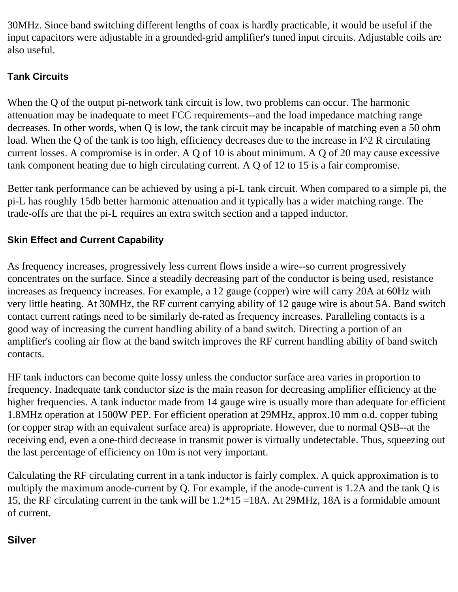30MHz. Since band switching different lengths of coax is hardly practicable, it would be useful if the input capacitors were adjustable in a grounded-grid amplifier's tuned input circuits. Adjustable coils are also useful.

#### **Tank Circuits**

When the Q of the output pi-network tank circuit is low, two problems can occur. The harmonic attenuation may be inadequate to meet FCC requirements--and the load impedance matching range decreases. In other words, when Q is low, the tank circuit may be incapable of matching even a 50 ohm load. When the Q of the tank is too high, efficiency decreases due to the increase in I^2 R circulating current losses. A compromise is in order. A Q of 10 is about minimum. A Q of 20 may cause excessive tank component heating due to high circulating current. A Q of 12 to 15 is a fair compromise.

Better tank performance can be achieved by using a pi-L tank circuit. When compared to a simple pi, the pi-L has roughly 15db better harmonic attenuation and it typically has a wider matching range. The trade-offs are that the pi-L requires an extra switch section and a tapped inductor.

#### **Skin Effect and Current Capability**

As frequency increases, progressively less current flows inside a wire--so current progressively concentrates on the surface. Since a steadily decreasing part of the conductor is being used, resistance increases as frequency increases. For example, a 12 gauge (copper) wire will carry 20A at 60Hz with very little heating. At 30MHz, the RF current carrying ability of 12 gauge wire is about 5A. Band switch contact current ratings need to be similarly de-rated as frequency increases. Paralleling contacts is a good way of increasing the current handling ability of a band switch. Directing a portion of an amplifier's cooling air flow at the band switch improves the RF current handling ability of band switch contacts.

HF tank inductors can become quite lossy unless the conductor surface area varies in proportion to frequency. Inadequate tank conductor size is the main reason for decreasing amplifier efficiency at the higher frequencies. A tank inductor made from 14 gauge wire is usually more than adequate for efficient 1.8MHz operation at 1500W PEP. For efficient operation at 29MHz, approx.10 mm o.d. copper tubing (or copper strap with an equivalent surface area) is appropriate. However, due to normal QSB--at the receiving end, even a one-third decrease in transmit power is virtually undetectable. Thus, squeezing out the last percentage of efficiency on 10m is not very important.

Calculating the RF circulating current in a tank inductor is fairly complex. A quick approximation is to multiply the maximum anode-current by Q. For example, if the anode-current is 1.2A and the tank Q is 15, the RF circulating current in the tank will be 1.2\*15 =18A. At 29MHz, 18A is a formidable amount of current.

#### **Silver**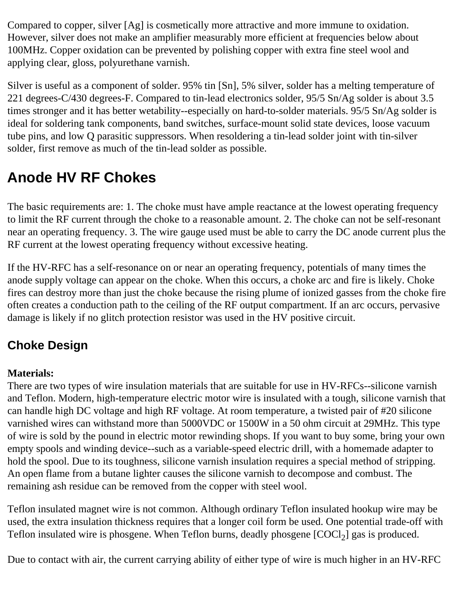Compared to copper, silver [Ag] is cosmetically more attractive and more immune to oxidation. However, silver does not make an amplifier measurably more efficient at frequencies below about 100MHz. Copper oxidation can be prevented by polishing copper with extra fine steel wool and applying clear, gloss, polyurethane varnish.

Silver is useful as a component of solder. 95% tin [Sn], 5% silver, solder has a melting temperature of 221 degrees-C/430 degrees-F. Compared to tin-lead electronics solder, 95/5 Sn/Ag solder is about 3.5 times stronger and it has better wetability--especially on hard-to-solder materials. 95/5 Sn/Ag solder is ideal for soldering tank components, band switches, surface-mount solid state devices, loose vacuum tube pins, and low Q parasitic suppressors. When resoldering a tin-lead solder joint with tin-silver solder, first remove as much of the tin-lead solder as possible.

### **Anode HV RF Chokes**

The basic requirements are: 1. The choke must have ample reactance at the lowest operating frequency to limit the RF current through the choke to a reasonable amount. 2. The choke can not be self-resonant near an operating frequency. 3. The wire gauge used must be able to carry the DC anode current plus the RF current at the lowest operating frequency without excessive heating.

If the HV-RFC has a self-resonance on or near an operating frequency, potentials of many times the anode supply voltage can appear on the choke. When this occurs, a choke arc and fire is likely. Choke fires can destroy more than just the choke because the rising plume of ionized gasses from the choke fire often creates a conduction path to the ceiling of the RF output compartment. If an arc occurs, pervasive damage is likely if no glitch protection resistor was used in the HV positive circuit.

### **Choke Design**

#### **Materials:**

There are two types of wire insulation materials that are suitable for use in HV-RFCs--silicone varnish and Teflon. Modern, high-temperature electric motor wire is insulated with a tough, silicone varnish that can handle high DC voltage and high RF voltage. At room temperature, a twisted pair of #20 silicone varnished wires can withstand more than 5000VDC or 1500W in a 50 ohm circuit at 29MHz. This type of wire is sold by the pound in electric motor rewinding shops. If you want to buy some, bring your own empty spools and winding device--such as a variable-speed electric drill, with a homemade adapter to hold the spool. Due to its toughness, silicone varnish insulation requires a special method of stripping. An open flame from a butane lighter causes the silicone varnish to decompose and combust. The remaining ash residue can be removed from the copper with steel wool.

Teflon insulated magnet wire is not common. Although ordinary Teflon insulated hookup wire may be used, the extra insulation thickness requires that a longer coil form be used. One potential trade-off with Teflon insulated wire is phosgene. When Teflon burns, deadly phosgene  $[COCl<sub>2</sub>]$  gas is produced.

Due to contact with air, the current carrying ability of either type of wire is much higher in an HV-RFC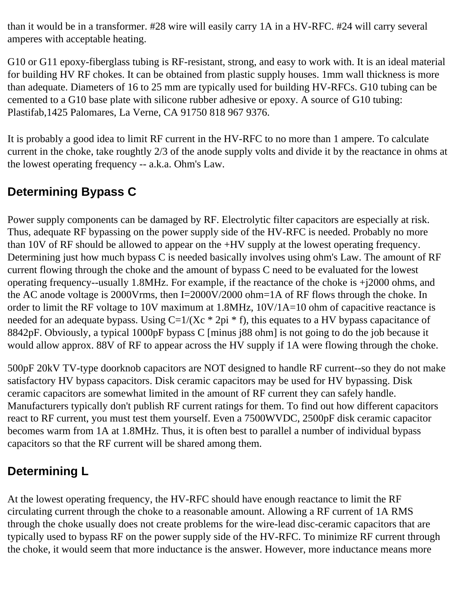than it would be in a transformer. #28 wire will easily carry 1A in a HV-RFC. #24 will carry several amperes with acceptable heating.

G10 or G11 epoxy-fiberglass tubing is RF-resistant, strong, and easy to work with. It is an ideal material for building HV RF chokes. It can be obtained from plastic supply houses. 1mm wall thickness is more than adequate. Diameters of 16 to 25 mm are typically used for building HV-RFCs. G10 tubing can be cemented to a G10 base plate with silicone rubber adhesive or epoxy. A source of G10 tubing: Plastifab,1425 Palomares, La Verne, CA 91750 818 967 9376.

It is probably a good idea to limit RF current in the HV-RFC to no more than 1 ampere. To calculate current in the choke, take roughtly 2/3 of the anode supply volts and divide it by the reactance in ohms at the lowest operating frequency -- a.k.a. Ohm's Law.

### **Determining Bypass C**

Power supply components can be damaged by RF. Electrolytic filter capacitors are especially at risk. Thus, adequate RF bypassing on the power supply side of the HV-RFC is needed. Probably no more than 10V of RF should be allowed to appear on the +HV supply at the lowest operating frequency. Determining just how much bypass C is needed basically involves using ohm's Law. The amount of RF current flowing through the choke and the amount of bypass C need to be evaluated for the lowest operating frequency--usually 1.8MHz. For example, if the reactance of the choke is +j2000 ohms, and the AC anode voltage is 2000Vrms, then I=2000V/2000 ohm=1A of RF flows through the choke. In order to limit the RF voltage to 10V maximum at 1.8MHz, 10V/1A=10 ohm of capacitive reactance is needed for an adequate bypass. Using  $C=1/(Xc * 2pi * f)$ , this equates to a HV bypass capacitance of 8842pF. Obviously, a typical 1000pF bypass C [minus j88 ohm] is not going to do the job because it would allow approx. 88V of RF to appear across the HV supply if 1A were flowing through the choke.

500pF 20kV TV-type doorknob capacitors are NOT designed to handle RF current--so they do not make satisfactory HV bypass capacitors. Disk ceramic capacitors may be used for HV bypassing. Disk ceramic capacitors are somewhat limited in the amount of RF current they can safely handle. Manufacturers typically don't publish RF current ratings for them. To find out how different capacitors react to RF current, you must test them yourself. Even a 7500WVDC, 2500pF disk ceramic capacitor becomes warm from 1A at 1.8MHz. Thus, it is often best to parallel a number of individual bypass capacitors so that the RF current will be shared among them.

### **Determining L**

At the lowest operating frequency, the HV-RFC should have enough reactance to limit the RF circulating current through the choke to a reasonable amount. Allowing a RF current of 1A RMS through the choke usually does not create problems for the wire-lead disc-ceramic capacitors that are typically used to bypass RF on the power supply side of the HV-RFC. To minimize RF current through the choke, it would seem that more inductance is the answer. However, more inductance means more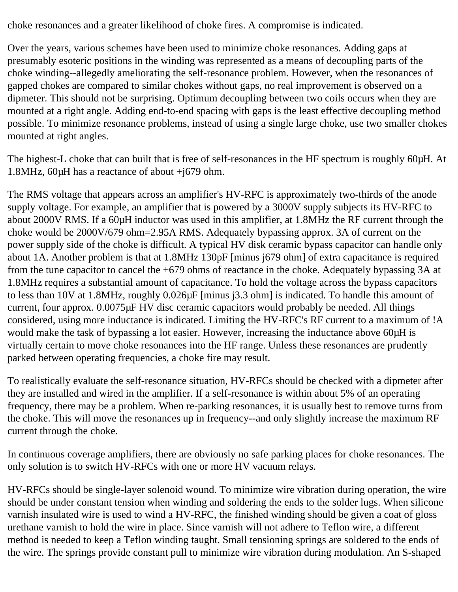choke resonances and a greater likelihood of choke fires. A compromise is indicated.

Over the years, various schemes have been used to minimize choke resonances. Adding gaps at presumably esoteric positions in the winding was represented as a means of decoupling parts of the choke winding--allegedly ameliorating the self-resonance problem. However, when the resonances of gapped chokes are compared to similar chokes without gaps, no real improvement is observed on a dipmeter. This should not be surprising. Optimum decoupling between two coils occurs when they are mounted at a right angle. Adding end-to-end spacing with gaps is the least effective decoupling method possible. To minimize resonance problems, instead of using a single large choke, use two smaller chokes mounted at right angles.

The highest-L choke that can built that is free of self-resonances in the HF spectrum is roughly 60µH. At 1.8MHz, 60µH has a reactance of about +j679 ohm.

The RMS voltage that appears across an amplifier's HV-RFC is approximately two-thirds of the anode supply voltage. For example, an amplifier that is powered by a 3000V supply subjects its HV-RFC to about 2000V RMS. If a 60µH inductor was used in this amplifier, at 1.8MHz the RF current through the choke would be 2000V/679 ohm=2.95A RMS. Adequately bypassing approx. 3A of current on the power supply side of the choke is difficult. A typical HV disk ceramic bypass capacitor can handle only about 1A. Another problem is that at 1.8MHz 130pF [minus j679 ohm] of extra capacitance is required from the tune capacitor to cancel the +679 ohms of reactance in the choke. Adequately bypassing 3A at 1.8MHz requires a substantial amount of capacitance. To hold the voltage across the bypass capacitors to less than 10V at 1.8MHz, roughly 0.026µF [minus j3.3 ohm] is indicated. To handle this amount of current, four approx. 0.0075µF HV disc ceramic capacitors would probably be needed. All things considered, using more inductance is indicated. Limiting the HV-RFC's RF current to a maximum of !A would make the task of bypassing a lot easier. However, increasing the inductance above 60 $\mu$ H is virtually certain to move choke resonances into the HF range. Unless these resonances are prudently parked between operating frequencies, a choke fire may result.

To realistically evaluate the self-resonance situation, HV-RFCs should be checked with a dipmeter after they are installed and wired in the amplifier. If a self-resonance is within about 5% of an operating frequency, there may be a problem. When re-parking resonances, it is usually best to remove turns from the choke. This will move the resonances up in frequency--and only slightly increase the maximum RF current through the choke.

In continuous coverage amplifiers, there are obviously no safe parking places for choke resonances. The only solution is to switch HV-RFCs with one or more HV vacuum relays.

HV-RFCs should be single-layer solenoid wound. To minimize wire vibration during operation, the wire should be under constant tension when winding and soldering the ends to the solder lugs. When silicone varnish insulated wire is used to wind a HV-RFC, the finished winding should be given a coat of gloss urethane varnish to hold the wire in place. Since varnish will not adhere to Teflon wire, a different method is needed to keep a Teflon winding taught. Small tensioning springs are soldered to the ends of the wire. The springs provide constant pull to minimize wire vibration during modulation. An S-shaped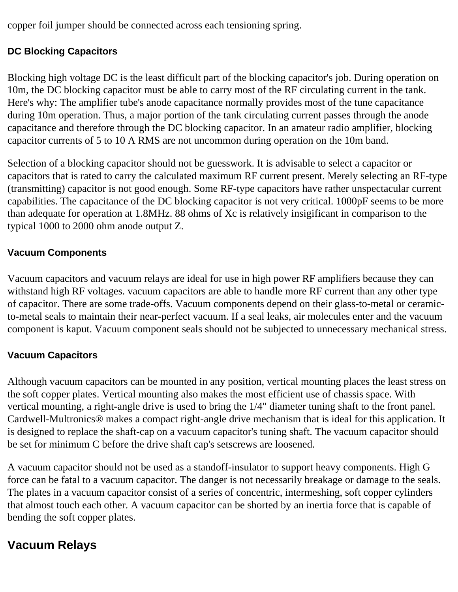copper foil jumper should be connected across each tensioning spring.

#### **DC Blocking Capacitors**

Blocking high voltage DC is the least difficult part of the blocking capacitor's job. During operation on 10m, the DC blocking capacitor must be able to carry most of the RF circulating current in the tank. Here's why: The amplifier tube's anode capacitance normally provides most of the tune capacitance during 10m operation. Thus, a major portion of the tank circulating current passes through the anode capacitance and therefore through the DC blocking capacitor. In an amateur radio amplifier, blocking capacitor currents of 5 to 10 A RMS are not uncommon during operation on the 10m band.

Selection of a blocking capacitor should not be guesswork. It is advisable to select a capacitor or capacitors that is rated to carry the calculated maximum RF current present. Merely selecting an RF-type (transmitting) capacitor is not good enough. Some RF-type capacitors have rather unspectacular current capabilities. The capacitance of the DC blocking capacitor is not very critical. 1000pF seems to be more than adequate for operation at 1.8MHz. 88 ohms of Xc is relatively insigificant in comparison to the typical 1000 to 2000 ohm anode output Z.

#### **Vacuum Components**

Vacuum capacitors and vacuum relays are ideal for use in high power RF amplifiers because they can withstand high RF voltages. vacuum capacitors are able to handle more RF current than any other type of capacitor. There are some trade-offs. Vacuum components depend on their glass-to-metal or ceramicto-metal seals to maintain their near-perfect vacuum. If a seal leaks, air molecules enter and the vacuum component is kaput. Vacuum component seals should not be subjected to unnecessary mechanical stress.

#### **Vacuum Capacitors**

Although vacuum capacitors can be mounted in any position, vertical mounting places the least stress on the soft copper plates. Vertical mounting also makes the most efficient use of chassis space. With vertical mounting, a right-angle drive is used to bring the 1/4" diameter tuning shaft to the front panel. Cardwell-Multronics® makes a compact right-angle drive mechanism that is ideal for this application. It is designed to replace the shaft-cap on a vacuum capacitor's tuning shaft. The vacuum capacitor should be set for minimum C before the drive shaft cap's setscrews are loosened.

A vacuum capacitor should not be used as a standoff-insulator to support heavy components. High G force can be fatal to a vacuum capacitor. The danger is not necessarily breakage or damage to the seals. The plates in a vacuum capacitor consist of a series of concentric, intermeshing, soft copper cylinders that almost touch each other. A vacuum capacitor can be shorted by an inertia force that is capable of bending the soft copper plates.

### **Vacuum Relays**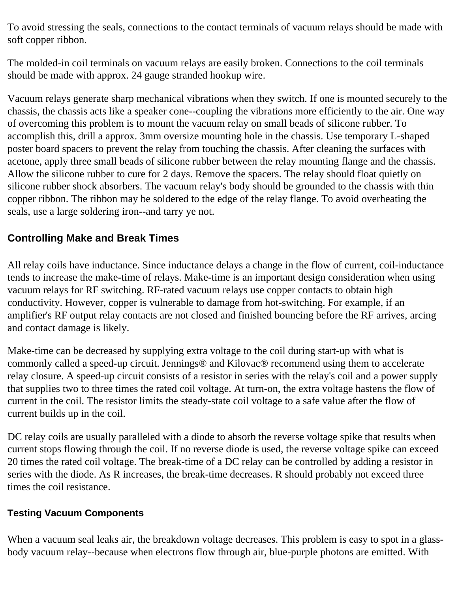To avoid stressing the seals, connections to the contact terminals of vacuum relays should be made with soft copper ribbon.

The molded-in coil terminals on vacuum relays are easily broken. Connections to the coil terminals should be made with approx. 24 gauge stranded hookup wire.

Vacuum relays generate sharp mechanical vibrations when they switch. If one is mounted securely to the chassis, the chassis acts like a speaker cone--coupling the vibrations more efficiently to the air. One way of overcoming this problem is to mount the vacuum relay on small beads of silicone rubber. To accomplish this, drill a approx. 3mm oversize mounting hole in the chassis. Use temporary L-shaped poster board spacers to prevent the relay from touching the chassis. After cleaning the surfaces with acetone, apply three small beads of silicone rubber between the relay mounting flange and the chassis. Allow the silicone rubber to cure for 2 days. Remove the spacers. The relay should float quietly on silicone rubber shock absorbers. The vacuum relay's body should be grounded to the chassis with thin copper ribbon. The ribbon may be soldered to the edge of the relay flange. To avoid overheating the seals, use a large soldering iron--and tarry ye not.

#### **Controlling Make and Break Times**

All relay coils have inductance. Since inductance delays a change in the flow of current, coil-inductance tends to increase the make-time of relays. Make-time is an important design consideration when using vacuum relays for RF switching. RF-rated vacuum relays use copper contacts to obtain high conductivity. However, copper is vulnerable to damage from hot-switching. For example, if an amplifier's RF output relay contacts are not closed and finished bouncing before the RF arrives, arcing and contact damage is likely.

Make-time can be decreased by supplying extra voltage to the coil during start-up with what is commonly called a speed-up circuit. Jennings® and Kilovac® recommend using them to accelerate relay closure. A speed-up circuit consists of a resistor in series with the relay's coil and a power supply that supplies two to three times the rated coil voltage. At turn-on, the extra voltage hastens the flow of current in the coil. The resistor limits the steady-state coil voltage to a safe value after the flow of current builds up in the coil.

DC relay coils are usually paralleled with a diode to absorb the reverse voltage spike that results when current stops flowing through the coil. If no reverse diode is used, the reverse voltage spike can exceed 20 times the rated coil voltage. The break-time of a DC relay can be controlled by adding a resistor in series with the diode. As R increases, the break-time decreases. R should probably not exceed three times the coil resistance.

#### **Testing Vacuum Components**

When a vacuum seal leaks air, the breakdown voltage decreases. This problem is easy to spot in a glassbody vacuum relay--because when electrons flow through air, blue-purple photons are emitted. With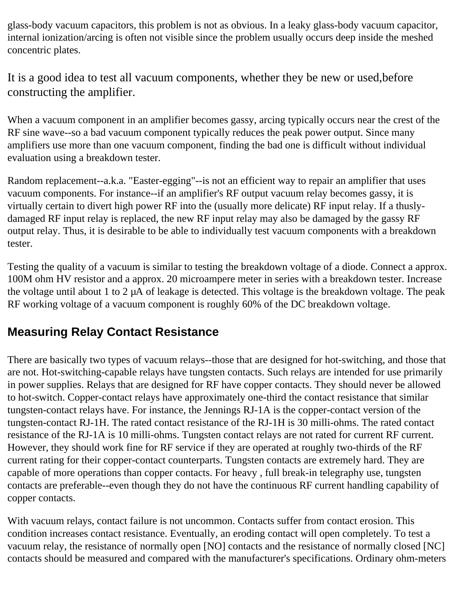glass-body vacuum capacitors, this problem is not as obvious. In a leaky glass-body vacuum capacitor, internal ionization/arcing is often not visible since the problem usually occurs deep inside the meshed concentric plates.

It is a good idea to test all vacuum components, whether they be new or used,before constructing the amplifier.

When a vacuum component in an amplifier becomes gassy, arcing typically occurs near the crest of the RF sine wave--so a bad vacuum component typically reduces the peak power output. Since many amplifiers use more than one vacuum component, finding the bad one is difficult without individual evaluation using a breakdown tester.

Random replacement--a.k.a. "Easter-egging"--is not an efficient way to repair an amplifier that uses vacuum components. For instance--if an amplifier's RF output vacuum relay becomes gassy, it is virtually certain to divert high power RF into the (usually more delicate) RF input relay. If a thuslydamaged RF input relay is replaced, the new RF input relay may also be damaged by the gassy RF output relay. Thus, it is desirable to be able to individually test vacuum components with a breakdown tester.

Testing the quality of a vacuum is similar to testing the breakdown voltage of a diode. Connect a approx. 100M ohm HV resistor and a approx. 20 microampere meter in series with a breakdown tester. Increase the voltage until about 1 to 2 µA of leakage is detected. This voltage is the breakdown voltage. The peak RF working voltage of a vacuum component is roughly 60% of the DC breakdown voltage.

### **Measuring Relay Contact Resistance**

There are basically two types of vacuum relays--those that are designed for hot-switching, and those that are not. Hot-switching-capable relays have tungsten contacts. Such relays are intended for use primarily in power supplies. Relays that are designed for RF have copper contacts. They should never be allowed to hot-switch. Copper-contact relays have approximately one-third the contact resistance that similar tungsten-contact relays have. For instance, the Jennings RJ-1A is the copper-contact version of the tungsten-contact RJ-1H. The rated contact resistance of the RJ-1H is 30 milli-ohms. The rated contact resistance of the RJ-1A is 10 milli-ohms. Tungsten contact relays are not rated for current RF current. However, they should work fine for RF service if they are operated at roughly two-thirds of the RF current rating for their copper-contact counterparts. Tungsten contacts are extremely hard. They are capable of more operations than copper contacts. For heavy , full break-in telegraphy use, tungsten contacts are preferable--even though they do not have the continuous RF current handling capability of copper contacts.

With vacuum relays, contact failure is not uncommon. Contacts suffer from contact erosion. This condition increases contact resistance. Eventually, an eroding contact will open completely. To test a vacuum relay, the resistance of normally open [NO] contacts and the resistance of normally closed [NC] contacts should be measured and compared with the manufacturer's specifications. Ordinary ohm-meters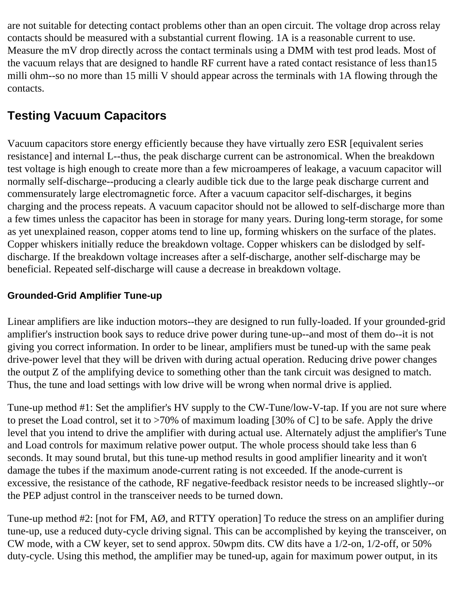are not suitable for detecting contact problems other than an open circuit. The voltage drop across relay contacts should be measured with a substantial current flowing. 1A is a reasonable current to use. Measure the mV drop directly across the contact terminals using a DMM with test prod leads. Most of the vacuum relays that are designed to handle RF current have a rated contact resistance of less than15 milli ohm--so no more than 15 milli V should appear across the terminals with 1A flowing through the contacts.

### **Testing Vacuum Capacitors**

Vacuum capacitors store energy efficiently because they have virtually zero ESR [equivalent series resistance] and internal L--thus, the peak discharge current can be astronomical. When the breakdown test voltage is high enough to create more than a few microamperes of leakage, a vacuum capacitor will normally self-discharge--producing a clearly audible tick due to the large peak discharge current and commensurately large electromagnetic force. After a vacuum capacitor self-discharges, it begins charging and the process repeats. A vacuum capacitor should not be allowed to self-discharge more than a few times unless the capacitor has been in storage for many years. During long-term storage, for some as yet unexplained reason, copper atoms tend to line up, forming whiskers on the surface of the plates. Copper whiskers initially reduce the breakdown voltage. Copper whiskers can be dislodged by selfdischarge. If the breakdown voltage increases after a self-discharge, another self-discharge may be beneficial. Repeated self-discharge will cause a decrease in breakdown voltage.

#### **Grounded-Grid Amplifier Tune-up**

Linear amplifiers are like induction motors--they are designed to run fully-loaded. If your grounded-grid amplifier's instruction book says to reduce drive power during tune-up--and most of them do--it is not giving you correct information. In order to be linear, amplifiers must be tuned-up with the same peak drive-power level that they will be driven with during actual operation. Reducing drive power changes the output Z of the amplifying device to something other than the tank circuit was designed to match. Thus, the tune and load settings with low drive will be wrong when normal drive is applied.

Tune-up method #1: Set the amplifier's HV supply to the CW-Tune/low-V-tap. If you are not sure where to preset the Load control, set it to >70% of maximum loading [30% of C] to be safe. Apply the drive level that you intend to drive the amplifier with during actual use. Alternately adjust the amplifier's Tune and Load controls for maximum relative power output. The whole process should take less than 6 seconds. It may sound brutal, but this tune-up method results in good amplifier linearity and it won't damage the tubes if the maximum anode-current rating is not exceeded. If the anode-current is excessive, the resistance of the cathode, RF negative-feedback resistor needs to be increased slightly--or the PEP adjust control in the transceiver needs to be turned down.

Tune-up method #2: [not for FM, AØ, and RTTY operation] To reduce the stress on an amplifier during tune-up, use a reduced duty-cycle driving signal. This can be accomplished by keying the transceiver, on CW mode, with a CW keyer, set to send approx. 50wpm dits. CW dits have a 1/2-on, 1/2-off, or 50% duty-cycle. Using this method, the amplifier may be tuned-up, again for maximum power output, in its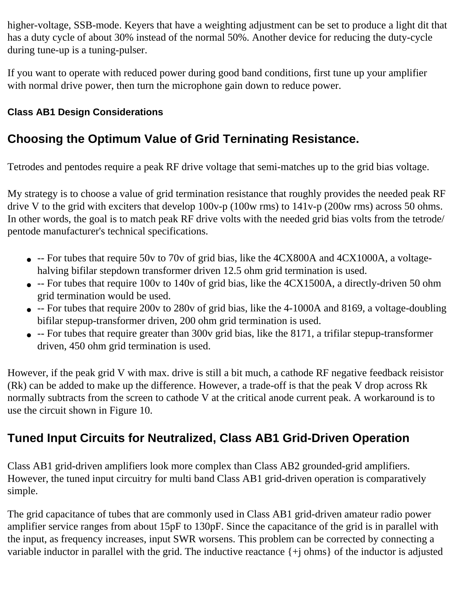higher-voltage, SSB-mode. Keyers that have a weighting adjustment can be set to produce a light dit that has a duty cycle of about 30% instead of the normal 50%. Another device for reducing the duty-cycle during tune-up is a tuning-pulser.

If you want to operate with reduced power during good band conditions, first tune up your amplifier with normal drive power, then turn the microphone gain down to reduce power.

#### **Class AB1 Design Considerations**

### **Choosing the Optimum Value of Grid Terninating Resistance.**

Tetrodes and pentodes require a peak RF drive voltage that semi-matches up to the grid bias voltage.

My strategy is to choose a value of grid termination resistance that roughly provides the needed peak RF drive V to the grid with exciters that develop 100v-p (100w rms) to 141v-p (200w rms) across 50 ohms. In other words, the goal is to match peak RF drive volts with the needed grid bias volts from the tetrode/ pentode manufacturer's technical specifications.

- -- For tubes that require 50v to 70v of grid bias, like the 4CX800A and 4CX1000A, a voltagehalving bifilar stepdown transformer driven 12.5 ohm grid termination is used.
- -- For tubes that require 100v to 140v of grid bias, like the 4CX1500A, a directly-driven 50 ohm grid termination would be used.
- -- For tubes that require 200v to 280v of grid bias, like the 4-1000A and 8169, a voltage-doubling bifilar stepup-transformer driven, 200 ohm grid termination is used.
- -- For tubes that require greater than 300v grid bias, like the 8171, a trifilar stepup-transformer driven, 450 ohm grid termination is used.

However, if the peak grid V with max. drive is still a bit much, a cathode RF negative feedback reisistor (Rk) can be added to make up the difference. However, a trade-off is that the peak V drop across Rk normally subtracts from the screen to cathode V at the critical anode current peak. A workaround is to use the circuit shown in Figure 10.

### **Tuned Input Circuits for Neutralized, Class AB1 Grid-Driven Operation**

Class AB1 grid-driven amplifiers look more complex than Class AB2 grounded-grid amplifiers. However, the tuned input circuitry for multi band Class AB1 grid-driven operation is comparatively simple.

The grid capacitance of tubes that are commonly used in Class AB1 grid-driven amateur radio power amplifier service ranges from about 15pF to 130pF. Since the capacitance of the grid is in parallel with the input, as frequency increases, input SWR worsens. This problem can be corrected by connecting a variable inductor in parallel with the grid. The inductive reactance {+j ohms} of the inductor is adjusted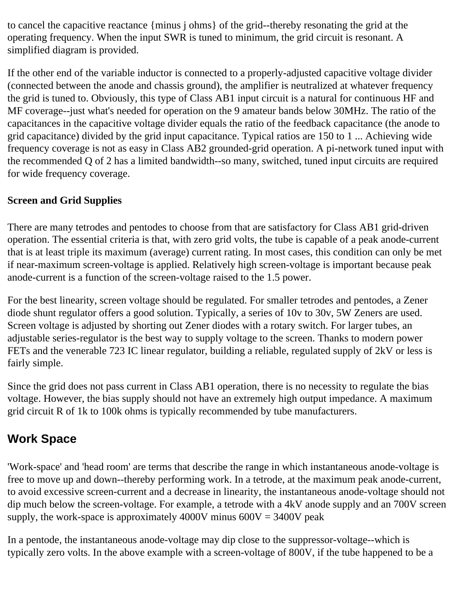to cancel the capacitive reactance {minus j ohms} of the grid--thereby resonating the grid at the operating frequency. When the input SWR is tuned to minimum, the grid circuit is resonant. A simplified diagram is provided.

If the other end of the variable inductor is connected to a properly-adjusted capacitive voltage divider (connected between the anode and chassis ground), the amplifier is neutralized at whatever frequency the grid is tuned to. Obviously, this type of Class AB1 input circuit is a natural for continuous HF and MF coverage--just what's needed for operation on the 9 amateur bands below 30MHz. The ratio of the capacitances in the capacitive voltage divider equals the ratio of the feedback capacitance (the anode to grid capacitance) divided by the grid input capacitance. Typical ratios are 150 to 1 ... Achieving wide frequency coverage is not as easy in Class AB2 grounded-grid operation. A pi-network tuned input with the recommended Q of 2 has a limited bandwidth--so many, switched, tuned input circuits are required for wide frequency coverage.

#### **Screen and Grid Supplies**

There are many tetrodes and pentodes to choose from that are satisfactory for Class AB1 grid-driven operation. The essential criteria is that, with zero grid volts, the tube is capable of a peak anode-current that is at least triple its maximum (average) current rating. In most cases, this condition can only be met if near-maximum screen-voltage is applied. Relatively high screen-voltage is important because peak anode-current is a function of the screen-voltage raised to the 1.5 power.

For the best linearity, screen voltage should be regulated. For smaller tetrodes and pentodes, a Zener diode shunt regulator offers a good solution. Typically, a series of 10v to 30v, 5W Zeners are used. Screen voltage is adjusted by shorting out Zener diodes with a rotary switch. For larger tubes, an adjustable series-regulator is the best way to supply voltage to the screen. Thanks to modern power FETs and the venerable 723 IC linear regulator, building a reliable, regulated supply of 2kV or less is fairly simple.

Since the grid does not pass current in Class AB1 operation, there is no necessity to regulate the bias voltage. However, the bias supply should not have an extremely high output impedance. A maximum grid circuit R of 1k to 100k ohms is typically recommended by tube manufacturers.

#### **Work Space**

'Work-space' and 'head room' are terms that describe the range in which instantaneous anode-voltage is free to move up and down--thereby performing work. In a tetrode, at the maximum peak anode-current, to avoid excessive screen-current and a decrease in linearity, the instantaneous anode-voltage should not dip much below the screen-voltage. For example, a tetrode with a 4kV anode supply and an 700V screen supply, the work-space is approximately 4000V minus  $600V = 3400V$  peak

In a pentode, the instantaneous anode-voltage may dip close to the suppressor-voltage--which is typically zero volts. In the above example with a screen-voltage of 800V, if the tube happened to be a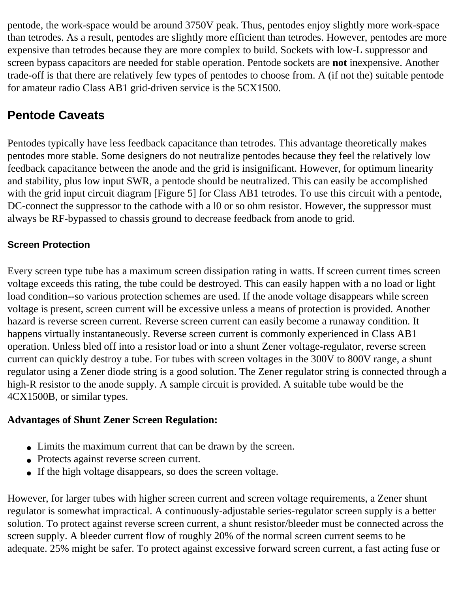pentode, the work-space would be around 3750V peak. Thus, pentodes enjoy slightly more work-space than tetrodes. As a result, pentodes are slightly more efficient than tetrodes. However, pentodes are more expensive than tetrodes because they are more complex to build. Sockets with low-L suppressor and screen bypass capacitors are needed for stable operation. Pentode sockets are **not** inexpensive. Another trade-off is that there are relatively few types of pentodes to choose from. A (if not the) suitable pentode for amateur radio Class AB1 grid-driven service is the 5CX1500.

### **Pentode Caveats**

Pentodes typically have less feedback capacitance than tetrodes. This advantage theoretically makes pentodes more stable. Some designers do not neutralize pentodes because they feel the relatively low feedback capacitance between the anode and the grid is insignificant. However, for optimum linearity and stability, plus low input SWR, a pentode should be neutralized. This can easily be accomplished with the grid input circuit diagram [Figure 5] for Class AB1 tetrodes. To use this circuit with a pentode, DC-connect the suppressor to the cathode with a 10 or so ohm resistor. However, the suppressor must always be RF-bypassed to chassis ground to decrease feedback from anode to grid.

#### **Screen Protection**

Every screen type tube has a maximum screen dissipation rating in watts. If screen current times screen voltage exceeds this rating, the tube could be destroyed. This can easily happen with a no load or light load condition--so various protection schemes are used. If the anode voltage disappears while screen voltage is present, screen current will be excessive unless a means of protection is provided. Another hazard is reverse screen current. Reverse screen current can easily become a runaway condition. It happens virtually instantaneously. Reverse screen current is commonly experienced in Class AB1 operation. Unless bled off into a resistor load or into a shunt Zener voltage-regulator, reverse screen current can quickly destroy a tube. For tubes with screen voltages in the 300V to 800V range, a shunt regulator using a Zener diode string is a good solution. The Zener regulator string is connected through a high-R resistor to the anode supply. A sample circuit is provided. A suitable tube would be the 4CX1500B, or similar types.

#### **Advantages of Shunt Zener Screen Regulation:**

- Limits the maximum current that can be drawn by the screen.
- Protects against reverse screen current.
- If the high voltage disappears, so does the screen voltage.

However, for larger tubes with higher screen current and screen voltage requirements, a Zener shunt regulator is somewhat impractical. A continuously-adjustable series-regulator screen supply is a better solution. To protect against reverse screen current, a shunt resistor/bleeder must be connected across the screen supply. A bleeder current flow of roughly 20% of the normal screen current seems to be adequate. 25% might be safer. To protect against excessive forward screen current, a fast acting fuse or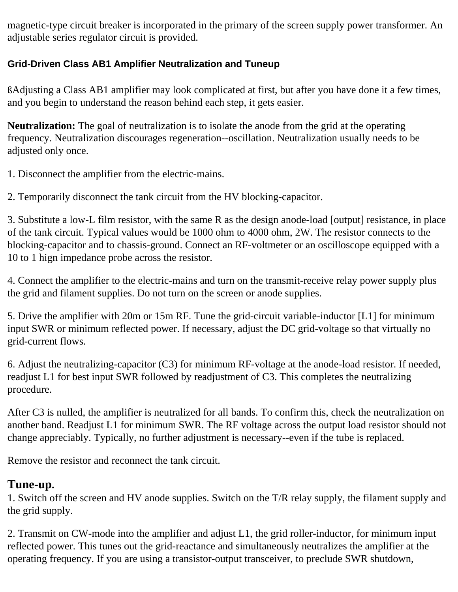magnetic-type circuit breaker is incorporated in the primary of the screen supply power transformer. An adjustable series regulator circuit is provided.

#### **Grid-Driven Class AB1 Amplifier Neutralization and Tuneup**

ßAdjusting a Class AB1 amplifier may look complicated at first, but after you have done it a few times, and you begin to understand the reason behind each step, it gets easier.

**Neutralization:** The goal of neutralization is to isolate the anode from the grid at the operating frequency. Neutralization discourages regeneration--oscillation. Neutralization usually needs to be adjusted only once.

1. Disconnect the amplifier from the electric-mains.

2. Temporarily disconnect the tank circuit from the HV blocking-capacitor.

3. Substitute a low-L film resistor, with the same R as the design anode-load [output] resistance, in place of the tank circuit. Typical values would be 1000 ohm to 4000 ohm, 2W. The resistor connects to the blocking-capacitor and to chassis-ground. Connect an RF-voltmeter or an oscilloscope equipped with a 10 to 1 hign impedance probe across the resistor.

4. Connect the amplifier to the electric-mains and turn on the transmit-receive relay power supply plus the grid and filament supplies. Do not turn on the screen or anode supplies.

5. Drive the amplifier with 20m or 15m RF. Tune the grid-circuit variable-inductor [L1] for minimum input SWR or minimum reflected power. If necessary, adjust the DC grid-voltage so that virtually no grid-current flows.

6. Adjust the neutralizing-capacitor (C3) for minimum RF-voltage at the anode-load resistor. If needed, readjust L1 for best input SWR followed by readjustment of C3. This completes the neutralizing procedure.

After C3 is nulled, the amplifier is neutralized for all bands. To confirm this, check the neutralization on another band. Readjust L1 for minimum SWR. The RF voltage across the output load resistor should not change appreciably. Typically, no further adjustment is necessary--even if the tube is replaced.

Remove the resistor and reconnect the tank circuit.

#### **Tune-up.**

1. Switch off the screen and HV anode supplies. Switch on the T/R relay supply, the filament supply and the grid supply.

2. Transmit on CW-mode into the amplifier and adjust L1, the grid roller-inductor, for minimum input reflected power. This tunes out the grid-reactance and simultaneously neutralizes the amplifier at the operating frequency. If you are using a transistor-output transceiver, to preclude SWR shutdown,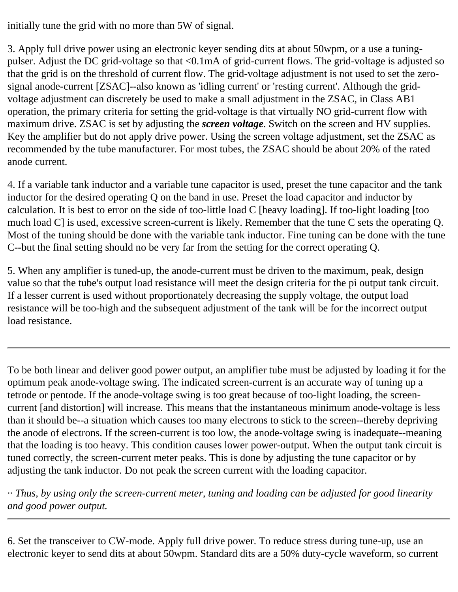initially tune the grid with no more than 5W of signal.

3. Apply full drive power using an electronic keyer sending dits at about 50wpm, or a use a tuningpulser. Adjust the DC grid-voltage so that <0.1mA of grid-current flows. The grid-voltage is adjusted so that the grid is on the threshold of current flow. The grid-voltage adjustment is not used to set the zerosignal anode-current [ZSAC]--also known as 'idling current' or 'resting current'. Although the gridvoltage adjustment can discretely be used to make a small adjustment in the ZSAC, in Class AB1 operation, the primary criteria for setting the grid-voltage is that virtually NO grid-current flow with maximum drive. ZSAC is set by adjusting the *screen voltage*. Switch on the screen and HV supplies. Key the amplifier but do not apply drive power. Using the screen voltage adjustment, set the ZSAC as recommended by the tube manufacturer. For most tubes, the ZSAC should be about 20% of the rated anode current.

4. If a variable tank inductor and a variable tune capacitor is used, preset the tune capacitor and the tank inductor for the desired operating Q on the band in use. Preset the load capacitor and inductor by calculation. It is best to error on the side of too-little load C [heavy loading]. If too-light loading [too much load C] is used, excessive screen-current is likely. Remember that the tune C sets the operating Q. Most of the tuning should be done with the variable tank inductor. Fine tuning can be done with the tune C--but the final setting should no be very far from the setting for the correct operating Q.

5. When any amplifier is tuned-up, the anode-current must be driven to the maximum, peak, design value so that the tube's output load resistance will meet the design criteria for the pi output tank circuit. If a lesser current is used without proportionately decreasing the supply voltage, the output load resistance will be too-high and the subsequent adjustment of the tank will be for the incorrect output load resistance.

To be both linear and deliver good power output, an amplifier tube must be adjusted by loading it for the optimum peak anode-voltage swing. The indicated screen-current is an accurate way of tuning up a tetrode or pentode. If the anode-voltage swing is too great because of too-light loading, the screencurrent [and distortion] will increase. This means that the instantaneous minimum anode-voltage is less than it should be--a situation which causes too many electrons to stick to the screen--thereby depriving the anode of electrons. If the screen-current is too low, the anode-voltage swing is inadequate--meaning that the loading is too heavy. This condition causes lower power-output. When the output tank circuit is tuned correctly, the screen-current meter peaks. This is done by adjusting the tune capacitor or by adjusting the tank inductor. Do not peak the screen current with the loading capacitor.

·· *Thus, by using only the screen-current meter, tuning and loading can be adjusted for good linearity and good power output.* 

6. Set the transceiver to CW-mode. Apply full drive power. To reduce stress during tune-up, use an electronic keyer to send dits at about 50wpm. Standard dits are a 50% duty-cycle waveform, so current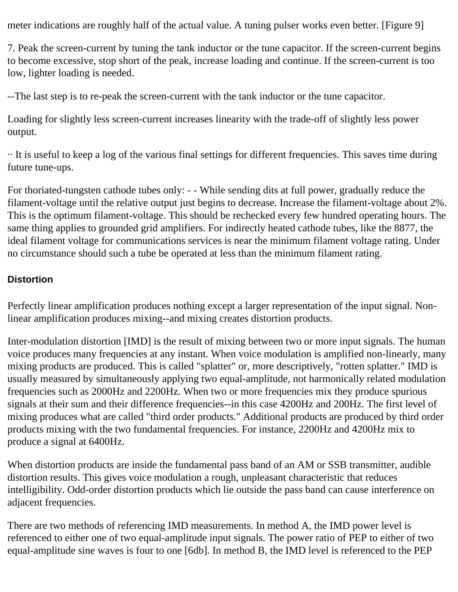meter indications are roughly half of the actual value. A tuning pulser works even better. [Figure 9]

7. Peak the screen-current by tuning the tank inductor or the tune capacitor. If the screen-current begins to become excessive, stop short of the peak, increase loading and continue. If the screen-current is too low, lighter loading is needed.

--The last step is to re-peak the screen-current with the tank inductor or the tune capacitor.

Loading for slightly less screen-current increases linearity with the trade-off of slightly less power output.

·· It is useful to keep a log of the various final settings for different frequencies. This saves time during future tune-ups.

For thoriated-tungsten cathode tubes only: - - While sending dits at full power, gradually reduce the filament-voltage until the relative output just begins to decrease. Increase the filament-voltage about 2%. This is the optimum filament-voltage. This should be rechecked every few hundred operating hours. The same thing applies to grounded grid amplifiers. For indirectly heated cathode tubes, like the 8877, the ideal filament voltage for communications services is near the minimum filament voltage rating. Under no circumstance should such a tube be operated at less than the minimum filament rating.

#### **Distortion**

Perfectly linear amplification produces nothing except a larger representation of the input signal. Nonlinear amplification produces mixing--and mixing creates distortion products.

Inter-modulation distortion [IMD] is the result of mixing between two or more input signals. The human voice produces many frequencies at any instant. When voice modulation is amplified non-linearly, many mixing products are produced. This is called "splatter" or, more descriptively, "rotten splatter." IMD is usually measured by simultaneously applying two equal-amplitude, not harmonically related modulation frequencies such as 2000Hz and 2200Hz. When two or more frequencies mix they produce spurious signals at their sum and their difference frequencies--in this case 4200Hz and 200Hz. The first level of mixing produces what are called "third order products." Additional products are produced by third order products mixing with the two fundamental frequencies. For instance, 2200Hz and 4200Hz mix to produce a signal at 6400Hz.

When distortion products are inside the fundamental pass band of an AM or SSB transmitter, audible distortion results. This gives voice modulation a rough, unpleasant characteristic that reduces intelligibility. Odd-order distortion products which lie outside the pass band can cause interference on adjacent frequencies.

There are two methods of referencing IMD measurements. In method A, the IMD power level is referenced to either one of two equal-amplitude input signals. The power ratio of PEP to either of two equal-amplitude sine waves is four to one [6db]. In method B, the IMD level is referenced to the PEP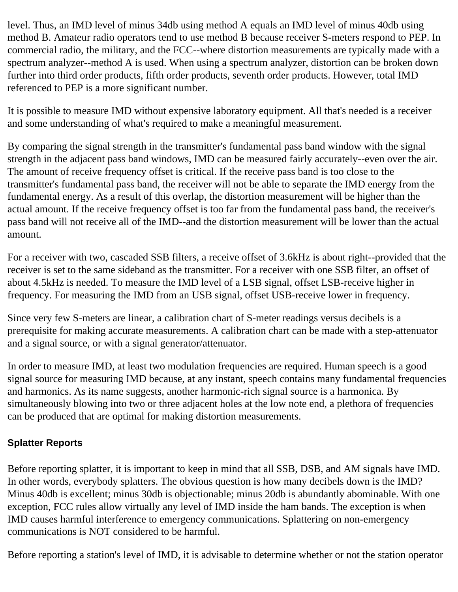level. Thus, an IMD level of minus 34db using method A equals an IMD level of minus 40db using method B. Amateur radio operators tend to use method B because receiver S-meters respond to PEP. In commercial radio, the military, and the FCC--where distortion measurements are typically made with a spectrum analyzer--method A is used. When using a spectrum analyzer, distortion can be broken down further into third order products, fifth order products, seventh order products. However, total IMD referenced to PEP is a more significant number.

It is possible to measure IMD without expensive laboratory equipment. All that's needed is a receiver and some understanding of what's required to make a meaningful measurement.

By comparing the signal strength in the transmitter's fundamental pass band window with the signal strength in the adjacent pass band windows, IMD can be measured fairly accurately--even over the air. The amount of receive frequency offset is critical. If the receive pass band is too close to the transmitter's fundamental pass band, the receiver will not be able to separate the IMD energy from the fundamental energy. As a result of this overlap, the distortion measurement will be higher than the actual amount. If the receive frequency offset is too far from the fundamental pass band, the receiver's pass band will not receive all of the IMD--and the distortion measurement will be lower than the actual amount.

For a receiver with two, cascaded SSB filters, a receive offset of 3.6kHz is about right--provided that the receiver is set to the same sideband as the transmitter. For a receiver with one SSB filter, an offset of about 4.5kHz is needed. To measure the IMD level of a LSB signal, offset LSB-receive higher in frequency. For measuring the IMD from an USB signal, offset USB-receive lower in frequency.

Since very few S-meters are linear, a calibration chart of S-meter readings versus decibels is a prerequisite for making accurate measurements. A calibration chart can be made with a step-attenuator and a signal source, or with a signal generator/attenuator.

In order to measure IMD, at least two modulation frequencies are required. Human speech is a good signal source for measuring IMD because, at any instant, speech contains many fundamental frequencies and harmonics. As its name suggests, another harmonic-rich signal source is a harmonica. By simultaneously blowing into two or three adjacent holes at the low note end, a plethora of frequencies can be produced that are optimal for making distortion measurements.

#### **Splatter Reports**

Before reporting splatter, it is important to keep in mind that all SSB, DSB, and AM signals have IMD. In other words, everybody splatters. The obvious question is how many decibels down is the IMD? Minus 40db is excellent; minus 30db is objectionable; minus 20db is abundantly abominable. With one exception, FCC rules allow virtually any level of IMD inside the ham bands. The exception is when IMD causes harmful interference to emergency communications. Splattering on non-emergency communications is NOT considered to be harmful.

Before reporting a station's level of IMD, it is advisable to determine whether or not the station operator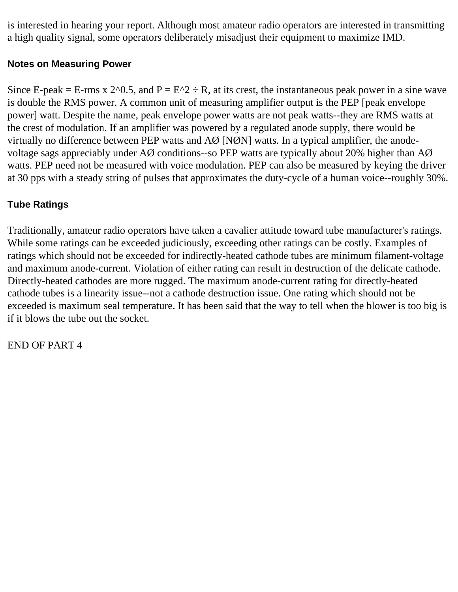is interested in hearing your report. Although most amateur radio operators are interested in transmitting a high quality signal, some operators deliberately misadjust their equipment to maximize IMD.

#### **Notes on Measuring Power**

Since E-peak = E-rms x 2^0.5, and  $P = E^2 + R$ , at its crest, the instantaneous peak power in a sine wave is double the RMS power. A common unit of measuring amplifier output is the PEP [peak envelope power] watt. Despite the name, peak envelope power watts are not peak watts--they are RMS watts at the crest of modulation. If an amplifier was powered by a regulated anode supply, there would be virtually no difference between PEP watts and AØ [NØN] watts. In a typical amplifier, the anodevoltage sags appreciably under AØ conditions--so PEP watts are typically about 20% higher than AØ watts. PEP need not be measured with voice modulation. PEP can also be measured by keying the driver at 30 pps with a steady string of pulses that approximates the duty-cycle of a human voice--roughly 30%.

#### **Tube Ratings**

Traditionally, amateur radio operators have taken a cavalier attitude toward tube manufacturer's ratings. While some ratings can be exceeded judiciously, exceeding other ratings can be costly. Examples of ratings which should not be exceeded for indirectly-heated cathode tubes are minimum filament-voltage and maximum anode-current. Violation of either rating can result in destruction of the delicate cathode. Directly-heated cathodes are more rugged. The maximum anode-current rating for directly-heated cathode tubes is a linearity issue--not a cathode destruction issue. One rating which should not be exceeded is maximum seal temperature. It has been said that the way to tell when the blower is too big is if it blows the tube out the socket.

END OF PART 4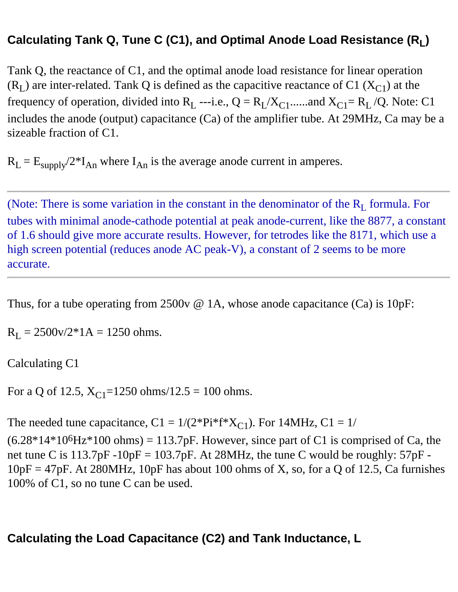### **Calculating Tank Q, Tune C (C1), and Optimal Anode Load Resistance (RL)**

Tank Q, the reactance of C1, and the optimal anode load resistance for linear operation  $(R<sub>L</sub>)$  are inter-related. Tank Q is defined as the capacitive reactance of C1 ( $X<sub>C1</sub>$ ) at the frequency of operation, divided into  $R_L$  ---i.e.,  $Q = R_L/X_{C1}$ ......and  $X_{C1} = R_L/Q$ . Note: C1 includes the anode (output) capacitance (Ca) of the amplifier tube. At 29MHz, Ca may be a sizeable fraction of C1.

 $R_L = E_{\text{supply}}/2*I_{An}$  where  $I_{An}$  is the average anode current in amperes.

(Note: There is some variation in the constant in the denominator of the  $R_L$  formula. For tubes with minimal anode-cathode potential at peak anode-current, like the 8877, a constant of 1.6 should give more accurate results. However, for tetrodes like the 8171, which use a high screen potential (reduces anode AC peak-V), a constant of 2 seems to be more accurate.

Thus, for a tube operating from 2500v  $\omega$  1A, whose anode capacitance (Ca) is 10pF:

 $R_L = 2500 \text{v}/2 \cdot 1 \text{A} = 1250 \text{ ohms}.$ 

Calculating C1

For a Q of 12.5,  $X_{C1}$ =1250 ohms/12.5 = 100 ohms.

The needed tune capacitance,  $C1 = 1/(2*Pi*f*X_{C1})$ . For 14MHz,  $C1 = 1/$ 

 $(6.28*14*10<sup>6</sup>Hz*100 ohms) = 113.7pF$ . However, since part of C1 is comprised of Ca, the net tune C is  $113.7pF - 10pF = 103.7pF$ . At 28MHz, the tune C would be roughly:  $57pF - 10pF = 103.7pF$  $10pF = 47pF$ . At 280MHz, 10pF has about 100 ohms of X, so, for a Q of 12.5, Ca furnishes 100% of C1, so no tune C can be used.

### **Calculating the Load Capacitance (C2) and Tank Inductance, L**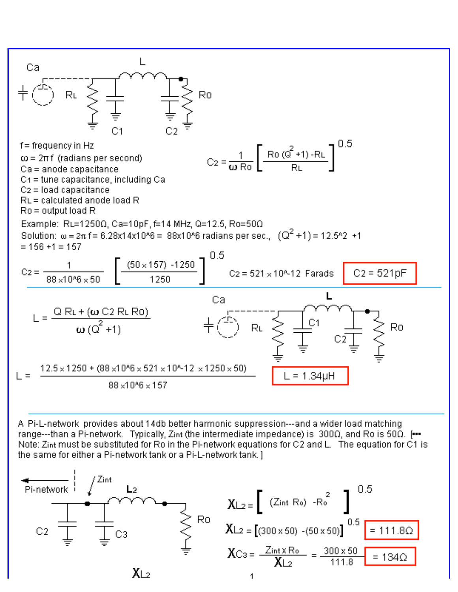

A Pi-L-network provides about 14db better harmonic suppression---and a wider load matching range---than a Pi-network. Typically, Zint (the intermediate impedance) is  $300\Omega$ , and Ro is  $50\Omega$ . [... Note: Zint must be substituted for Ro in the Pi-network equations for C2 and L. The equation for C1 is the same for either a Pi-network tank or a Pi-L-network tank. ]

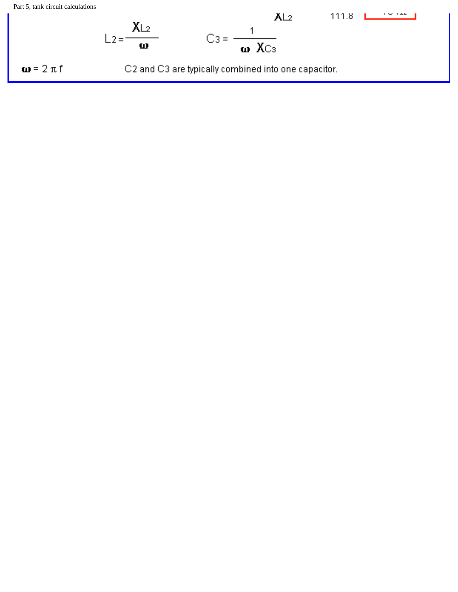Part 5, tank circuit calculations

$$
L_2 = \frac{XL_2}{\omega} \qquad C_3 = \frac{1}{\omega \cdot XC_3}
$$
\n
$$
\omega = 2 \pi f \qquad C_2 \text{ and C3 are typically combined into one capacitor.}
$$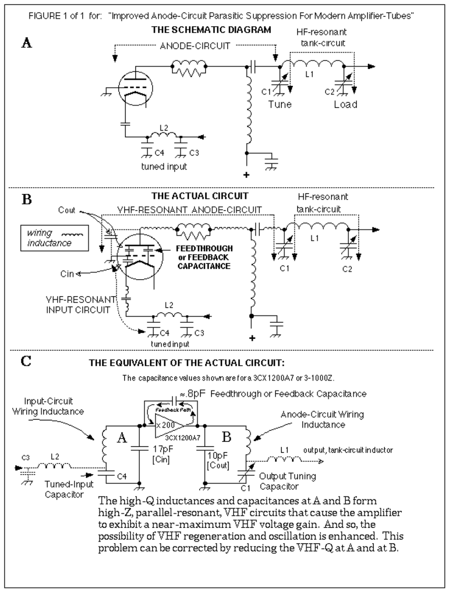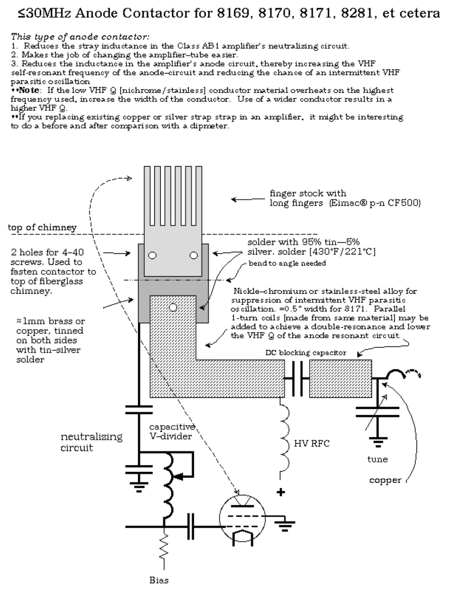### ≤30MHz Anode Contactor for 8169, 8170, 8171, 8281, et cetera

This type of anode contactor:

1. Reduces the stray inductance in the Class AB1 amplifier's neutralizing circuit.

2. Makes the job of changing the amplifier–tube easier.

3. Reduces the inductance in the amplifier's anode circuit, thereby increasing the VHF

self-resonant frequency of the anode–circuit and reducing the chance of an intermittent VHF para siti o oscillation

 $\bullet$  Note: If the low VHF Q [nichrome/stainless] conductor material overheats on the highest frequency used, increase the width of the conductor. Use of a wider conductor results in a higher VHF Q.

\*\*If you replacing existing copper or silver strap strap in an amplifier,it might be interesting to do a before and after comparison with a dipmeter.

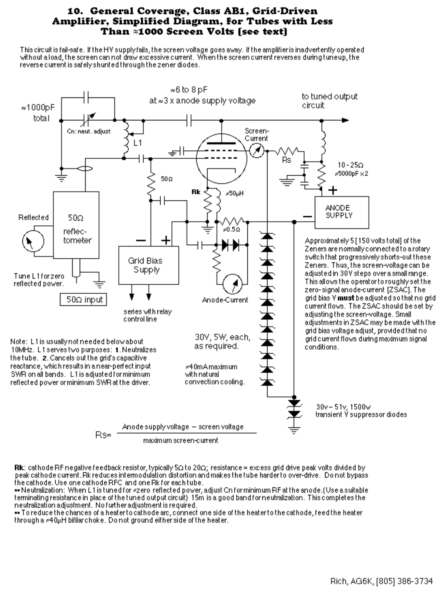#### 10. General Coverage, Class AB1, Grid-Driven Amplifier, Simplified Diagram, for Tubes with Less Than #1000 Screen Volts [see text]

This circuit is fail-safe. If the HV supplyfails, the screen voltage goes away. If the amplifier is inadvertently operated without a load, the screen can not draw excessive current. When the screen current reverses during tuneup, the reverse current is safely shunted through the zener diodes.



Rk: cathode RF negative feedback resistor, typically 5 $\Omega$  to 20 $\Omega$ ; resistance = excess grid drive peak volts divided by peak cathode current. Rk reduces intermodulation distortion and makes the tube harder to over-drive. Do not bypass the cathode. Use one cathode RFC and one Rk for each tube.

•• Neutralization: When L1 is tuned for «zero-reflected power, adjust Cn for minimum RF at the anode.{Use a suitable terminating resistance in place of the tuned output circuit} 15m is a good band for neutralization. This completes the neutralization adjustment. No further adjustment is required.

• To reduce the chances of a heater to cathode arc, connect one side of the heater to the cathode, feed the heater through a  $\leq 40$ µH bifilar choke. Do not ground either side of the heater.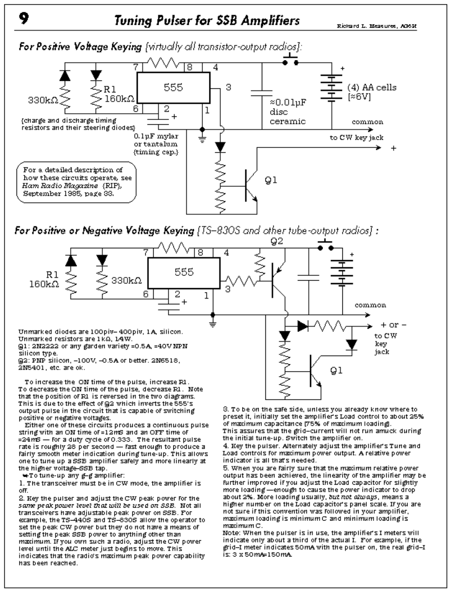### **Tuning Pulser for SSB Amplifiers**

Richard L. Measures, AGOR



For Positive or Negative Voltage Keying [TS-830S and other tube-output radios] :



that the position of R1 is reversed in the two diagrams. This is due to the effect of @2 which inverts the 555's output pulse in the circuit that is capable of switching positive or negative voltages.

Either one of these circuits produces a continuous pulse string with an ON time of =12mS and an OFF time of =24mS - For a duty cycle of 0.333. The resultant pulse rate is roughly 28 per second - fast enough to produce a Fairly smooth meter indication during tune-up. This allows one to tune up a SSB amplifier safely and more linearly at the higher voltage-SSB tap.

₩To tune-up any g—g amplifier:

1. The transceiver must be in CW mode, the amplifier is oFF.

2. Key the pulser and adjust the CW peak power for the same peak power level that will be used on SSB. Not all transceivers have adjustable peak power on SSB. For example, the TS-440S and TS-830S allow the operator to set the peak CW power but they do not have a means of setting the peak SSB power to anything other than maximum. If you own such a radio, adjust the CW power level until the ALC meter just begins to move. This indicates that the radio's maximum peak power capability has been reached.

8. To be on the safe side, unless you already know where to preset it, initially set the amplifier's Load control to about 25% of maximum capacitance (75% of maximum Ioading). This assures that the grid-current will not run amuck during

the initial tune-up. Switch the amplifier on. 4. Key the pulser. Alternately adjust the amplifier's Tune and Load controls for maximum power output. A relative power indicator is all that's needed.

5. When you are fairly sure that the maximum relative power output has been achieved, the linearity of the amplifier may be further improved if you adjust the Load capacitor for slightly more loading - enough to cause the power indicator to drop about 2%. More loading usually, but not always, means a higher number on the Load capacitor's panel scale. If you are not sure if this convention was followed in your amplifier,  $maximum$  loading is minimum  $C$  and minimum loading is maximum C.

Note: When the pulser is in use, the amplifier's I meters will indicate only about a third of the actual I. For example, if the grid–I meter indicates 50mA with the pulser on, the real grid–I is: 3 x 50 mA=150 mA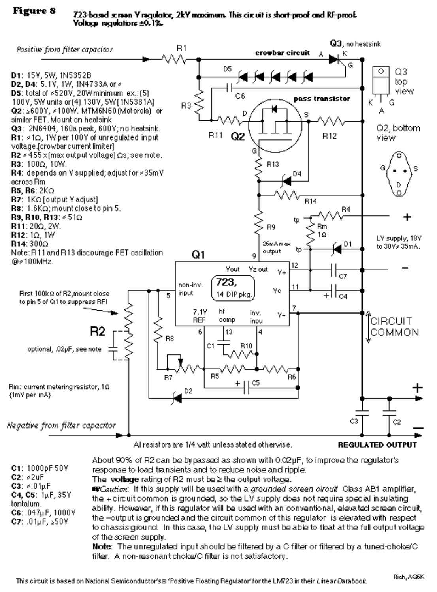#### **Figure 8** 723-based screen Y regulator, 2kY maximum. This circuit is short-proof and RF-proof. Yollage regulations ±0.1%.



All resistors are 1/4 walt unless stated otherwise.

**REGULATED OUTPUT** 

C1: 1000pF 50V  $C2: 2uF$  $C3: 8.01 \text{uF}$  $C4, C5: 1<sub>k</sub>F, 35V$ tantalum.  $C6: .047\mu F, 1000V$ C7:  $.01\mu$ F,  $.50V$ 

About 90% of R2 can be bypassed as shown with 0.02µF, to improve the regulator's response to load transients and to reduce noise and ripple. The **voltage** rating of R2 must be  $\geq$  the output voltage. **#PCaution:** If this supply will be used with a grounded screen circuit. Class AB1 amplifier, the + direuit common is grounded, so the LV supply does not require special insulating

ability. However, if this requlator will be used with an conventional, elevated screen circuit, the --output is grounded and the circuit common of this regulator is elevated with respect to chassis ground. In this case, the LV supply must be able to float at the full output voltage. of the screen supply.

Note: The unregulated input should be filtered by a C filter or filtered by a tuned-choke/C filter. A non-resonant choke/C filter is not satisfactory.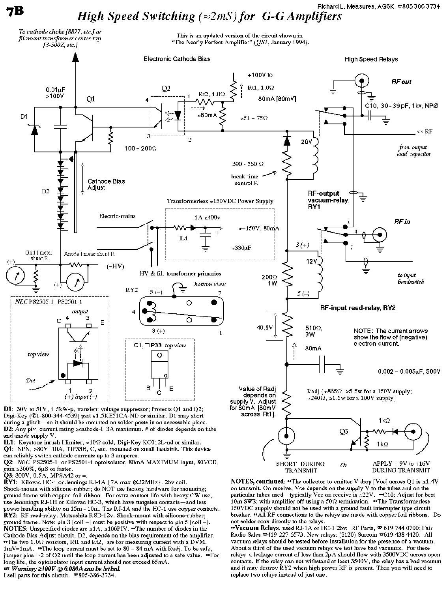Richard L. Measures, AG6K,  $\pi$ 805 386 3734

# **High Speed Switching** ( $\approx 2mS$ ) for G-G Amplifiers



D1: 30V to 51V, 1.5kW-p, transient voltage suppressor; Protects Q1 and Q2; Digi-Key (01-800-344-4539) part #1.5KE51CA-ND or similar. D1 may short during a glitch - so it should be mounted on solder posts in an accessable place. D2: Any piv, current rating  $\geq$  cathode-I 3A maximum. # of diodes depends on tube and anode supply V.

IL1: Keystone inrush I limiter,  $\approx 10\Omega$  cold, Digi-Key KC012L-nd or similar.

 $Q1: NPN, \geq 80V, 10A, TIP33B, C, etc. mounted on small heatsink. This device$ can reliably switch cathode currents up to 3 amperes.

Q2: NEC PS2505-1 or PS2501-1 optoisolator, 80mA MAXIMUM input, 80VCE, gain  $\geq$  300%, 6µS or faster.

Q3: 300V, 0.5A, MPSA42 or =.

7B

RY1: Kilovac HC-1 or Jennings RJ-1A {7A max @32MHz}. 26v coil. Shock-mount with silicone-rubber; do NOT use factory hardware for mounting; ground frame with copper foil ribbon. For extra contact life with heavy CW use, use Jennings RJ-1H or Kilovac HC-3, which have tungsten contacts —and less power handling ability on  $15m - 10m$ . The RJ-1A and the HC-1 use copper contacts. RY2: RF reed-relay. Matsushita RSD-12v. Shock-mount with silicone-rubber; ground frame. Note: pin 3 [coil +] must be positive with respect to pin 5 [coil -]. **NOTES:** Unspecified diodes are  $\ge 1$ A,  $\ge 100$ PIV. •• The number of diodes in the Cathode Bias Adjust circuit, D2, depends on the bias requirement of the amplifier. •• The two  $1.0\Omega$  resistors, Rt1 and Rt2, are for measuring current with a DVM.  $1 \text{mV} = 1 \text{mA}$ . "The loop current must be set to 80 - 84 mA with Radj. To be safe, jumper pins  $1-2$  of Q2 until the loop current has been adjusted to a safe value.  $\bullet$ For long life, the optoisolator input current should not exceed 65mA.  $\sqrt{3}$  Warning:  $\geq$ 100V @ 0.080A can be lethal.

I sell parts for this circuit.  $\mathfrak{B}805-386-3734$ .

NOTES, continued: •• The collector-to-emitter V drop [Vce] across Q1 is  $\leq 1.4V$ on transmit. On receive, Vce depends on the supply  $V$  to the tubes and on the particular tubes used—typically Vce on receive is  $\approx 22V$ . "C10: Adjust for best 10m SWR with amplifier off using a  $50\Omega$  termination. •• The Transformerless 150VDC supply should not be used with a ground fault interrupter type circuit breaker. •• All RF connections to the relays are made with copper foil ribbons. Do not solder coax directly to the relays.

•• Vacuum Relays, used RJ-1A or HC-1 26v: RF Parts,  $\infty$  619 744 0700; Fair Radio Sales x 419-227-6573. New relays: (\$120) Surcom x 619 438 4420. All vacuum relays should be tested before installation for the presence of a vacuum. About a third of the used vacuum relays we test have bad vacuums. For these relays a leakage current of less than  $2\mu A$  should flow with  $3500VDC$  across open contacts. If the relay can not withstand at least 3500V, the relay has a bad vacuum and it may destroy RY2 when high power RF is present. Then you will need to replace two relays instead of just one.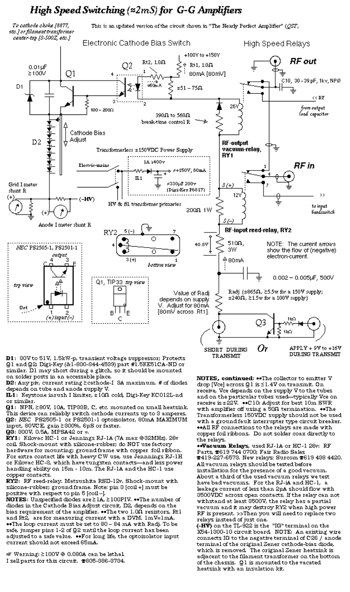### High Speed Switching  $(\approx 2mS)$  for G-G Amplifiers



D1: SOV to 51V, 1.5kW-p, transient voltage suppressor; Protects Q1 and Q2; Digi-Key (&1-800-844-4539) part #1.5KE51CA-ND or similar. D1 may short during a glitch, so it should be mounted on solder posts in an accessable place.

**D2:** Any piv, current rating  $\ge$  cathode-I-3A maximum. # of diodes depends on tube and anode supply V.

IL1: Keystone inrush I limiter, x 10Ω cold, Digi-Key KC012L-nd or similar.

Q1: NPN, ≥80V, 10A, TIP33B, C, etc. mounted on small heatsink. This device can reliably switch cathode currents up to 3 amperes. **Q2**: *NEC* PS2505-1 or PS2501-1 optoisolator, 80mA MAXIMUM input, 80VCE, gain ≥300%, 6µS or faster.

Q3: 300V, 0.5A, MPSA42 or =.

RY1: Kilovac HC-1 or Jennings RJ-1A (7A max @32MHz), 26v coil. Shock-mount with silicone-rubber; do NOT use factory hardware for mounting; ground frame with copper foil ribbon. For extra contact life with heavy CW use, use Jennnings RJ-1H or Kilovac HC-3, which have tungsten contacts-and less power handling ability on 15m - 10m. The RJ-1A and the HC-1 use copper contacts.

RY2: RF reed-relay. Matsushita RSD-12v. Shock-mount with silicone-rubber; ground frame. Note: pin 3 [coil +] must be positive with respect to pin 5 [coil–].

NOTES: Unspecified diodes are  $\geq$  1A,  $\geq$  100PIV.  $\bullet\bullet$ The number of diodes in the Cathode Bias Adjust circuit, D2, depends on the bias requirement of the amplifier. ••The two 1.0Ω resistors, Rt1 and Rt2, are for measuring current with a DVM. 1mV=1mA. \*\*The loop current must be set to 80 - 84 mA with Radj. To be safe, jumper pins 1-2 of Q2 until the loop current has been adjusted to a safe value. ••For long life, the optoisolator input current should not exceed 65mA.

@ Warning: ≥100V @ 0.080A can be lethal. I sell parts for this circuit. 2805-386-3734. NOTES, continued: •• The collector to emitter V drop [Vce] across Q1 is ≤1.4V on transmit. On receive, Vce depends on the supply V to the tubes and on the particular tubes used—typically Vce on receive is  $z22V$ .  $\bullet$  C10: Adjust for best 10m SWR. with amplifier off using a 50 $\Omega$  termination. ••The Transformerless 150VDC supply should not be used with a ground fault interrupter type circuit breaker. \*\*All RF connections to the relays are made with copper foil ribbons. Do not solder coax directly to the relays.

\*\*Vacuum Relays, used RJ-1A or HC-1 26v: RF Parts, #619 744 0700; Fair Radio Sales **#419-227-6573. New relays: Surcom #619 438 4420.** All vacuum relays should be tested before installation for the presence of a good vacuum. About a third of the used vacuum relays we test have bad vacuums. For the RJ-iA and HC-1, a leakage current of less than 2pA should flow with 3500VDC across open contacts. If the relay can not withstand at least 3500V, the relay has a partial vacuum and it may destroy RY2 when high power RF is present. >>Then you will need to replace two relays instead of just one.

 $(-H\bar{V})$  on the TL-922 is the "IG" terminal on the X54-1300-10 circuit board. NOTE: An existing wire connects IG to the negative terminal of C26 / anode terminal of the original Zener cathode-bias diode, which is removed. The original Zener heatsink is adjacent to the filament transformer on the bottom of the chassis. Q1 is mounted to the vacated heatsink with an insulation kit.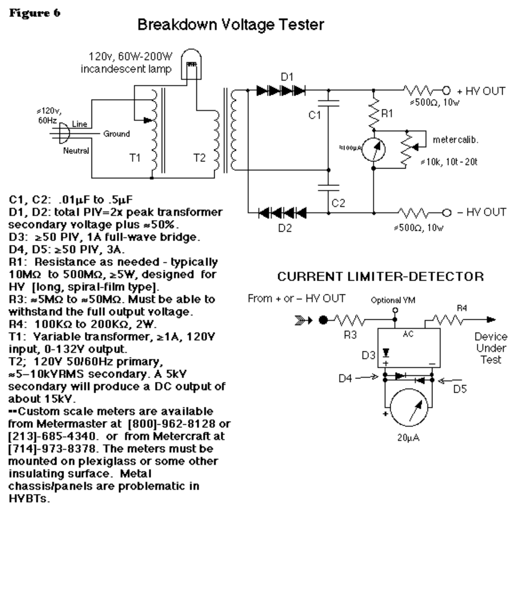### Breakdown Voltage Tester



D<sub>2</sub>

≤500Ω, 10w

secondary voltage plus \*50%. D3: ≥50 PIV, 1A full-wave bridge.

D4, D5:  $\geq 50$  PIV, 3A.

R1: Resistance as needed - typically 10M $\Omega$  to 500M $\Omega$ ,  $\geq$ 5W, designed for HY [long, spiral-film type].

R3:  $\approx$ 5M $\Omega$  to  $\approx$ 50M $\Omega$ . Must be able to withstand the full output voltage.

R4:  $100K\Omega$  to  $200K\Omega$ ,  $2W$ .

T1: Yariable transformer, ≥1A, 120Y input, 0-132Y output.

T2: 120Y 50/60Hz primary,

\*5-10kYRMS secondary. A 5kY secondary will produce a DC output of about 15kY.

--Custom scale meters are available from Metermaster at [800]-962-8128 or [213]-685-4340. or from Metercraft at [714]-973-8378. The meters must be mounted on plexiglass or some other insulating surface. Metal chassis/panels are problematic in HYBTs.

#### **CURRENT LIMITER-DETECTOR**

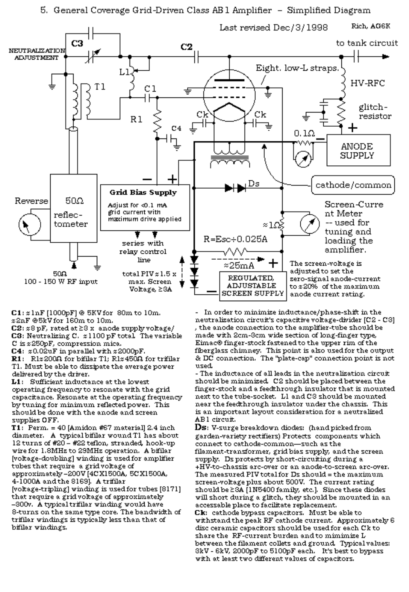

 $C1: z1nF [1000pF] @ 5KV for 80m to 10m.$ #2nF@5kV for 160m to 10m.

 $C2: z8 pF$ , rated at  $\geq 3 x$  anode supply voltage/ C3: Neutralizing C. x1100 pF total The variable C is  $z250pF$ , compression mica.

C4:  $z0.02uF$  in parallel with  $z2000pF$ .

R1: R1x2000 for bifilar T1; R1x4500 for trifilar Tl. Must be able to dissipate the average power delivered by the driver.

L1: Sufficient inductance at the lowest operating frequency to resonate with the grid capacitance. Resonate at the operating frequency by tuning for minimum reflected power. This should be done with the anode and screen supplies OFF.

**T1**: Perm.  $= 40$  [Amidon #67 material] 2.4 inch. diameter. A typical bifilar wound Tl has about 12 turns of #20 - #22 teflon, stranded, hook-up wire for 1.8MHz to 29MHz operation. A bifilar [voltage-doubling] winding is used for amplifier tubes that require a grid voltage of approximately -200V [4CX1500A, 5CX1500A, 4-1000A and the 8169]. A trifilar

[voltage-tripling] winding is used for tubes [8171] that require a grid voltage of approximately -300v. A typical trifilar winding would have 8-turns on the same type core. The bandwidth of trifilar windings is typically less than that of bifilar windings.

In order to minimize inductance/phase-shift in the neutralization circuit's capacitive voltage-divider [C2 - C3] , the anode connection to the amplifier-tube should be made with 2cm-3cm wide section of long-finger type, Eimac® finger-stock fastened to the upper rim of the fiberglass chimney. This point is also used for the output & DC connection. The "plate-cap" connection point is not used.

- The inductance of all leads in the neutralization circuit. should be minimized. C2 should be placed between the finger-stock and a feedthrough insulator that is mounted next to the tube-socket. L1 and C3 should be mounted near the feedthrough insulator under the chassis. This is an important layout consideration for a neutralized. AB1 circuit.

**Ds**: V-surge breakdown diodes: (hand picked from garden-variety rectifiers) Protects components which connect to cathode-common-such as the filament-transformer, grid bias supply, and the screensupply. Ds protects by short-circuiting during a +HV-to-chassis arc-over or an anode-to-screen arc-over. The measured PIV total for Ds should = the maximum screen-voltage plus about 500V. The current rating should be≥3A [1N5400 family, etc.]. Since these diodes will short during a glitch, they should be mounted in an accessable place to facilitate replacement.

Ck: cathode bypass capacitors. Must be able to withstand the peak RF cathode current. Approximately 6 disc ceramic capacitors should be used for each Ck to share the RF-current burden and to mimimize L between the filament collets and ground. Typical values: SkV - 6kV, 2000pF to 5100pF each. It's best to bypass with at least two different values of capacitors.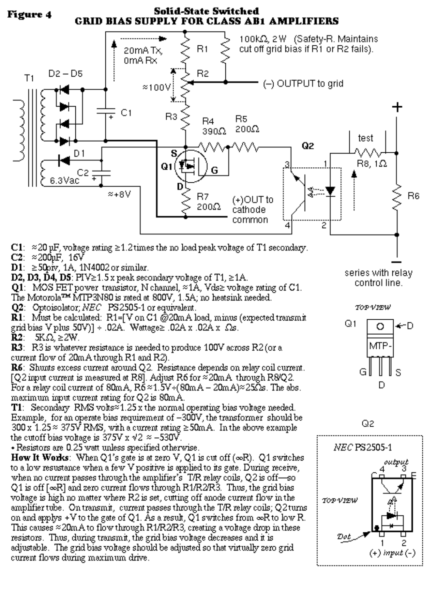#### Solid-State Switched Figure 4 GRID BIAS SUPPLY FOR CLASS AB1 AMPLIFIERS



C1:  $\approx$  20 µF, voltage rating  $\geq$ 1.2 times the no load peak voltage of T1 secondary.

 $C2: \approx 200 pF, 16V$ 

 $D1: \ge 50$ prv, 1A, 1N4002 or similar.

**D2, D3, D4, D5**:  $PIV \ge 1.5$  x peak secondary voltage of T1,  $\ge 1$ A.

**Q1**: MOS FET power transistor, N channel,  $\approx 1\text{\AA}$ , Vds> voltage rating of C1.

The Motorola<sup>TM</sup> MTP3N80 is rated at 800V, 1.5A; no heatsink needed.

Q2: Optoisolator; NEC PS2505-1 or equivalent.

**R1**: Must be calculated: R1=[V on C1 @20mA load, minus (expected transmit grid bias V plus 50V)]  $\div$  .02A. Wattage $\ge$  .02A x .02A x  $\Omega$ s.

R2:  $SK\Omega$ ,  $\geq$  2W.

**R3**: R3 is whatever resistance is needed to produce 100V across R2 (or a current flow of 20mA through R1 and R2).

 $\mathbf{R6}$ : Shunts excess current around Q2. Resistance depends on relay coil current. [Q2 input current is measured at R8]. Adjust R6 for  $\approx$  20mA through R8/Q2. For a relay coil current of 80mA,  $R\bar{6} \approx 1.5V + (80mA - 20mA) \approx 25\Omega s$ . The abs. maximum input current rating for Q2 is 80mA.

**T1**: Secondary RMS volts<sup> $\approx$ </sup>1.25 x the normal operating bias voltage needed. Example, for an operate bias requirement of -300V, the transformer should be  $300 \times 1.25 \approx 375\overline{V}$  RMS, with a current rating  $\geq 50$ mA. In the above example the cutoff bias voltage is 375V x  $\sqrt{2} \approx -530$ V.

• Resistors are 0.25 watt unless specified otherwise.

How It Works: When Q1's gate is at zero V, Q1 is cut off  $(\infty R)$ . Q1 switches to a low resustance when a few V positive is applied to its gate. During receive, when no current passes through the amplifier's T/R relay coils, Q2 is off-so Q1 is off  $\lceil \infty \rceil$  and zero current flows through R1/R2/R3. Thus, the grid bias voltage is high no matter where R2 is set, cutting off anode current flow in the amplifier tube. On transmit, current passes through the T/R relay coils; Q2 turns on and applys +V to the gate of Q1. As a result, Q1 switches from  $\infty$ R to low R. This causes  $\approx$  20mA to flow through R1/R2/R3, creating a voltage drop in these resistors. Thus, during transmit, the grid bias voltage decreases and it is adjustable. The grid bias voltage should be adjusted so that virtually zero grid current flows during maximum drive.

series with relay control line.

TOP VIEW



Q2

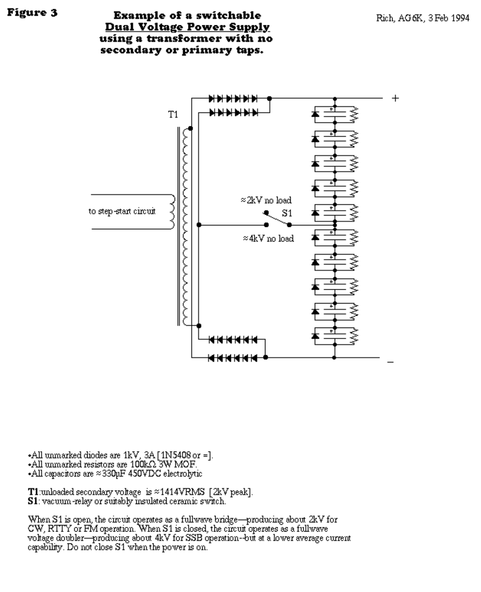#### Figure 3

#### **Example of a switchable Dual Voltage Power Supply** using a transformer with no secondary or primary taps.



 $-$ All unmarked diodes are 1kV, 3A [1N5408 or =]. •All unmarked resistors are 100kΩ 3W MOF.  $\star$ All capacitors are  $\approx$  330pF 450VDC electrolytic

**T1**: unloaded secondary voltage is  $\approx$  1414VRMS [2kV peak]. **S1**: vacuum-relay or suitably insulated ceramic switch.

When S1 is open, the circuit operates as a fullwave bridge—producing about 2kV for CW, RTTY or FM operation. When S1 is closed, the circuit operates as a fullwave voltage doubler—producing about 4kV for SSB operation--but at a lower average current capability. Do not close S1 when the power is on.